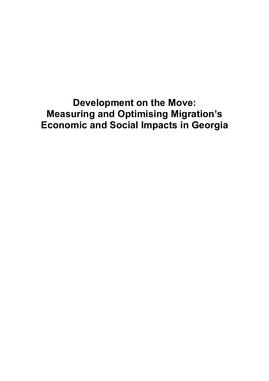Development on the Move: Measuring and Optimising Migration's Economic and Social Impacts in Georgia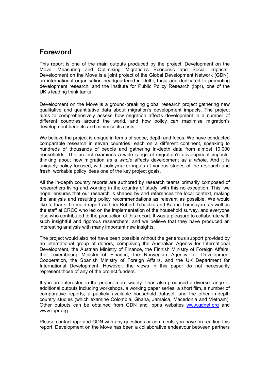# Foreword

This report is one of the main outputs produced by the project 'Development on the Move: Measuring and Optimising Migration's Economic and Social Impacts'. Development on the Move is a joint project of the Global Development Network (GDN), an international organisation headquartered in Delhi, India and dedicated to promoting development research; and the Institute for Public Policy Research (ippr), one of the UK's leading think tanks.

Development on the Move is a ground-breaking global research project gathering new qualitative and quantitative data about migration's development impacts. The project aims to comprehensively assess how migration affects development in a number of different countries around the world, and how policy can maximise migration's development benefits and minimise its costs.

We believe the project is unique in terms of scope, depth and focus. We have conducted comparable research in seven countries, each on a different continent, speaking to hundreds of thousands of people and gathering in-depth data from almost 10,000 households. The project examines a wide range of migration's development impacts, thinking about how migration as a whole affects development as a whole. And it is uniquely policy focused, with policymaker inputs at various stages of the research and fresh, workable policy ideas one of the key project goals.

All the in-depth country reports are authored by research teams primarily composed of researchers living and working in the country of study, with this no exception. This, we hope, ensures that our research is shaped by and references the local context, making the analysis and resulting policy recommendations as relevant as possible. We would like to thank the main report authors Robert Tchaidze and Karine Torosayan, as well as the staff at CRCC who led on the implementation of the household survey, and everyone else who contributed to the production of this report. It was a pleasure to collaborate with such insightful and rigorous researchers, and we believe that they have produced an interesting analysis with many important new insights.

The project would also not have been possible without the generous support provided by an international group of donors, comprising the Australian Agency for International Development, the Austrian Ministry of Finance, the Finnish Ministry of Foreign Affairs, the Luxembourg Ministry of Finance, the Norwegian Agency for Development Cooperation, the Spanish Ministry of Foreign Affairs, and the UK Department for International Development. However, the views in this paper do not necessarily represent those of any of the project funders.

If you are interested in the project more widely it has also produced a diverse range of additional outputs including workshops, a working paper series, a short film, a number of comparative reports, a publicly available household dataset, and the other in-depth country studies (which examine Colombia, Ghana, Jamaica, Macedonia and Vietnam). Other outputs can be obtained from GDN and ippr's websites www.gdnet.org and www.ippr.org.

Please contact ippr and GDN with any questions or comments you have on reading this report. Development on the Move has been a collaborative endeavour between partners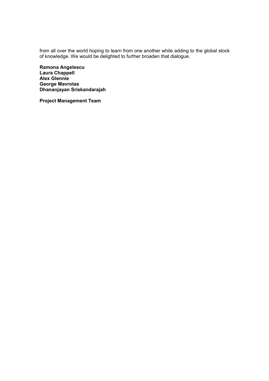from all over the world hoping to learn from one another while adding to the global stock of knowledge. We would be delighted to further broaden that dialogue.

Ramona Angelescu Laura Chappell Alex Glennie George Mavrotas Dhananjayan Sriskandarajah

Project Management Team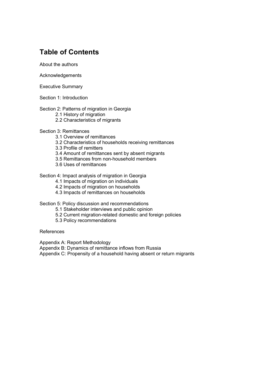# Table of Contents

About the authors

Acknowledgements

Executive Summary

Section 1: Introduction

## Section 2: Patterns of migration in Georgia

- 2.1 History of migration
- 2.2 Characteristics of migrants

## Section 3: Remittances

- 3.1 Overview of remittances
- 3.2 Characteristics of households receiving remittances
- 3.3 Profile of remitters
- 3.4 Amount of remittances sent by absent migrants
- 3.5 Remittances from non-household members
- 3.6 Uses of remittances

## Section 4: Impact analysis of migration in Georgia

- 4.1 Impacts of migration on individuals
- 4.2 Impacts of migration on households
- 4.3 Impacts of remittances on households

## Section 5: Policy discussion and recommendations

- 5.1 Stakeholder interviews and public opinion
- 5.2 Current migration-related domestic and foreign policies
- 5.3 Policy recommendations

References

Appendix A: Report Methodology

Appendix B: Dynamics of remittance inflows from Russia

Appendix C: Propensity of a household having absent or return migrants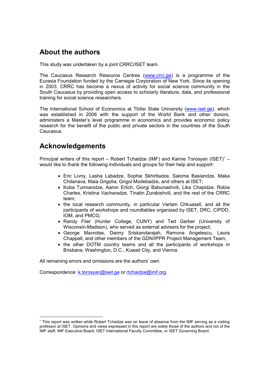# About the authors

This study was undertaken by a joint CRRC/ISET team.

The Caucasus Research Resource Centres (www.crrc.ge) is a programme of the Eurasia Foundation funded by the Carnegie Corporation of New York. Since its opening in 2003, CRRC has become a nexus of activity for social science community in the South Caucasus by providing open access to scholarly literature, data, and professional training for social science researchers.

The International School of Economics at Tbilisi State University (www.iset.ge), which was established in 2006 with the support of the World Bank and other donors, administers a Master's level programme in economics and provides economic policy research for the benefit of the public and private sectors in the countries of the South Caucasus.

# Acknowledgements

-

Principal writers of this report – Robert Tchaidze (IMF) and Karine Torosyan (ISET)<sup>\*</sup> – would like to thank the following individuals and groups for their help and support:

- Eric Livny, Lasha Labadze, Sophie Skhirtladze, Salome Baslandze, Maka Chitanava, Maia Grigolia, Grigol Modebadze, and others at ISET;
- Koba Turmanidze, Aaron Erlich, Giorgi Babunashvili, Lika Chapidze, Robia Charles, Kristina Vacharadze, Tinatin Zurabishvili, and the rest of the CRRC team;
- the local research community, in particular Varlam Chkuaseli, and all the participants of workshops and roundtables organized by ISET, DRC, CIPDD, IOM, and PMCG;
- Randy Filer (Hunter College, CUNY) and Ted Gerber (University of Wisconsin-Madison), who served as external advisers for the project;
- George Mavrotas, Danny Sriskandarajah, Ramona Angelescu, Laura Chappell, and other members of the GDN/IPPR Project Management Team;
- the other DOTM country teams and all the participants of workshops in Brisbane, Washington, D.C., Kuwait City, and Vienna.

All remaining errors and omissions are the authors' own.

Correspondence: k.torosyan@iset.ge or rtchaidze@imf.org.

<sup>∗</sup> This report was written while Robert Tchaidze was on leave of absence from the IMF serving as a visiting professor at ISET. Opinions and views expressed in this report are solely those of the authors and not of the IMF staff, IMF Executive Board, ISET International Faculty Committee, or ISET Governing Board.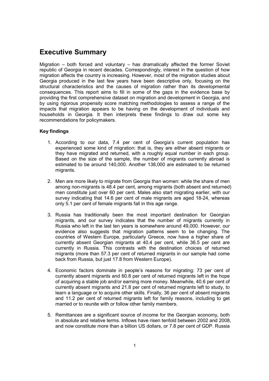# Executive Summary

Migration – both forced and voluntary – has dramatically affected the former Soviet republic of Georgia in recent decades. Correspondingly, interest in the question of how migration affects the country is increasing. However, most of the migration studies about Georgia produced in the last few years have been descriptive only, focusing on the structural characteristics and the causes of migration rather than its developmental consequences. This report aims to fill in some of the gaps in the evidence base by providing the first comprehensive dataset on migration and development in Georgia, and by using rigorous propensity score matching methodologies to assess a range of the impacts that migration appears to be having on the development of individuals and households in Georgia. It then interprets these findings to draw out some key recommendations for policymakers.

## Key findings

- 1. According to our data, 7.4 per cent of Georgia's current population has experienced some kind of migration: that is, they are either absent migrants or they have migrated and returned, with a roughly equal number in each group. Based on the size of the sample, the number of migrants currently abroad is estimated to be around 140,000. Another 138,000 are estimated to be returned migrants.
- 2. Men are more likely to migrate from Georgia than women: while the share of men among non-migrants is 48.4 per cent, among migrants (both absent and returned) men constitute just over 60 per cent. Males also start migrating earlier, with our survey indicating that 14.6 per cent of male migrants are aged 18-24, whereas only 5.1 per cent of female migrants fall in this age range.
- 3. Russia has traditionally been the most important destination for Georgian migrants, and our survey indicates that the number of migrants currently in Russia who left in the last ten years is somewhere around 49,000. However, our evidence also suggests that migration patterns seem to be changing. The countries of Western Europe, particularly Greece, now have a higher share of currently absent Georgian migrants at 40.4 per cent, while 36.5 per cent are currently in Russia. This contrasts with the destination choices of returned migrants (more than 57.3 per cent of returned migrants in our sample had come back from Russia, but just 17.8 from Western Europe).
- 4. Economic factors dominate in people's reasons for migrating: 73 per cent of currently absent migrants and 60.8 per cent of returned migrants left in the hope of acquiring a stable job and/or earning more money. Meanwhile, 40.6 per cent of currently absent migrants and 21.8 per cent of returned migrants left to study, to learn a language or to acquire other skills. Finally, 36 per cent of absent migrants and 11.2 per cent of returned migrants left for family reasons, including to get married or to reunite with or follow other family members.
- 5. Remittances are a significant source of income for the Georgian economy, both in absolute and relative terms. Inflows have risen tenfold between 2002 and 2008, and now constitute more than a billion US dollars, or 7.8 per cent of GDP. Russia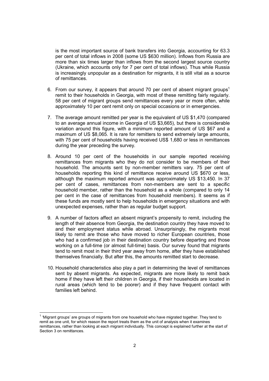is the most important source of bank transfers into Georgia, accounting for 63.3 per cent of total inflows in 2008 (some US \$630 million). Inflows from Russia are more than six times larger than inflows from the second largest source country (Ukraine, which accounts only for 7 per cent of total inflows). Thus while Russia is increasingly unpopular as a destination for migrants, it is still vital as a source of remittances.

- 6. From our survey, it appears that around 70 per cent of absent migrant groups<sup>1</sup> remit to their households in Georgia, with most of these remitting fairly regularly. 58 per cent of migrant groups send remittances every year or more often, while approximately 10 per cent remit only on special occasions or in emergencies.
- 7. The average amount remitted per year is the equivalent of US \$1,470 (compared to an average annual income in Georgia of US \$3,665), but there is considerable variation around this figure, with a minimum reported amount of US \$67 and a maximum of US \$8,065. It is rare for remitters to send extremely large amounts, with 75 per cent of households having received US\$ 1,680 or less in remittances during the year preceding the survey.
- 8. Around 10 per cent of the households in our sample reported receiving remittances from migrants who they do not consider to be members of their household. The amounts sent by non-member remitters vary. 75 per cent of households reporting this kind of remittance receive around US \$670 or less, although the maximum reported amount was approximately US \$13,450. In 37 per cent of cases, remittances from non-members are sent to a specific household member, rather than the household as a whole (compared to only 14 per cent in the case of remittances from household members). It seems as if these funds are mostly sent to help households in emergency situations and with unexpected expenses, rather than as regular budget support.
- 9. A number of factors affect an absent migrant's propensity to remit, including the length of their absence from Georgia, the destination country they have moved to and their employment status while abroad. Unsurprisingly, the migrants most likely to remit are those who have moved to richer European countries, those who had a confirmed job in their destination country before departing and those working on a full-time (or almost full-time) basis. Our survey found that migrants tend to remit most in their third year away from home, after they have established themselves financially. But after this, the amounts remitted start to decrease.
- 10. Household characteristics also play a part in determining the level of remittances sent by absent migrants. As expected, migrants are more likely to remit back home if they have left their children in Georgia, if their households are located in rural areas (which tend to be poorer) and if they have frequent contact with families left behind.

 1 'Migrant groups' are groups of migrants from one household who have migrated together. They tend to remit as one unit, for which reason the report treats them as the unit of analysis when it examines remittances, rather than looking at each migrant individually. This concept is explained further at the start of Section 3 on remittances.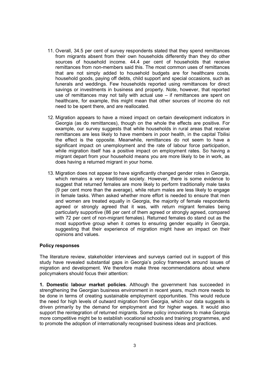- 11. Overall, 34.5 per cent of survey respondents stated that they spend remittances from migrants absent from their own households differently than they do other sources of household income. 44.4 per cent of households that receive remittances from non-members said this. The most common uses of remittances that are not simply added to household budgets are for healthcare costs, household goods, paying off debts, child support and special occasions, such as funerals and weddings. Few households reported using remittances for direct savings or investments in business and property. Note, however, that reported use of remittances may not tally with actual use  $-$  if remittances are spent on healthcare, for example, this might mean that other sources of income do not need to be spent there, and are reallocated.
- 12. Migration appears to have a mixed impact on certain development indicators in Georgia (as do remittances), though on the whole the effects are positive. For example, our survey suggests that while households in rural areas that receive remittances are less likely to have members in poor health, in the capital Tbilisi the effect is the opposite. Meanwhile, remittances do not seem to have a significant impact on unemployment and the rate of labour force participation, while migration itself has a positive impact on employment rates. So having a migrant depart from your household means you are more likely to be in work, as does having a returned migrant in your home.
- 13. Migration does not appear to have significantly changed gender roles in Georgia, which remains a very traditional society. However, there is some evidence to suggest that returned females are more likely to perform traditionally male tasks (9 per cent more than the average), while return males are less likely to engage in female tasks. When asked whether more effort is needed to ensure that men and women are treated equally in Georgia, the majority of female respondents agreed or strongly agreed that it was, with return migrant females being particularly supportive (86 per cent of them agreed or strongly agreed, compared with 72 per cent of non-migrant females). Returned females do stand out as the most supportive group when it comes to ensuring gender equality in Georgia, suggesting that their experience of migration might have an impact on their opinions and values.

### Policy responses

The literature review, stakeholder interviews and surveys carried out in support of this study have revealed substantial gaps in Georgia's policy framework around issues of migration and development. We therefore make three recommendations about where policymakers should focus their attention:

1. Domestic labour market policies. Although the government has succeeded in strengthening the Georgian business environment in recent years, much more needs to be done in terms of creating sustainable employment opportunities. This would reduce the need for high levels of outward migration from Georgia, which our data suggests is driven primarily by the demand for employment and for higher wages. It would also support the reintegration of returned migrants. Some policy innovations to make Georgia more competitive might be to establish vocational schools and training programmes, and to promote the adoption of internationally recognised business ideas and practices.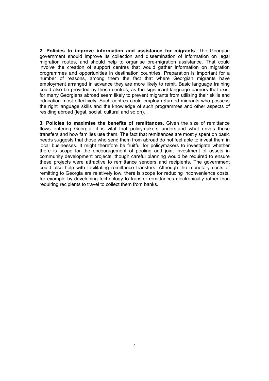2. Policies to improve information and assistance for migrants. The Georgian government should improve its collection and dissemination of information on legal migration routes, and should help to organise pre-migration assistance. That could involve the creation of support centres that would gather information on migration programmes and opportunities in destination countries. Preparation is important for a number of reasons, among them the fact that where Georgian migrants have employment arranged in advance they are more likely to remit. Basic language training could also be provided by these centres, as the significant language barriers that exist for many Georgians abroad seem likely to prevent migrants from utilising their skills and education most effectively. Such centres could employ returned migrants who possess the right language skills and the knowledge of such programmes and other aspects of residing abroad (legal, social, cultural and so on).

3. Policies to maximise the benefits of remittances. Given the size of remittance flows entering Georgia, it is vital that policymakers understand what drives these transfers and how families use them. The fact that remittances are mostly spent on basic needs suggests that those who send them from abroad do not feel able to invest them in local businesses. It might therefore be fruitful for policymakers to investigate whether there is scope for the encouragement of pooling and joint investment of assets in community development projects, though careful planning would be required to ensure these projects were attractive to remittance senders and recipients. The government could also help with facilitating remittance transfers. Although the monetary costs of remitting to Georgia are relatively low, there is scope for reducing inconvenience costs, for example by developing technology to transfer remittances electronically rather than requiring recipients to travel to collect them from banks.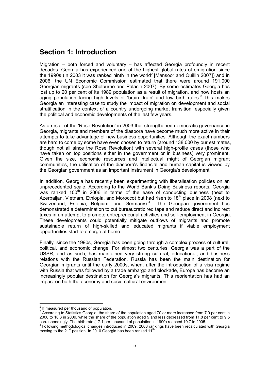# Section 1: Introduction

Migration – both forced and voluntary – has affected Georgia profoundly in recent decades. Georgia has experienced one of the highest global rates of emigration since the 1990s (in 2003 it was ranked ninth in the world<sup>2</sup> [Mansoor and Quillin 2007]) and in 2006, the UN Economic Commission estimated that there were around 191,000 Georgian migrants (see Shelburne and Palacin 2007). By some estimates Georgia has lost up to 20 per cent of its 1989 population as a result of migration, and now hosts an aging population facing high levels of 'brain drain' and low birth rates. $3$  This makes Georgia an interesting case to study the impact of migration on development and social stratification in the context of a country undergoing market transition, especially given the political and economic developments of the last few years.

As a result of the 'Rose Revolution' in 2003 that strengthened democratic governance in Georgia, migrants and members of the diaspora have become much more active in their attempts to take advantage of new business opportunities. Although the exact numbers are hard to come by some have even chosen to return (around 138,000 by our estimates, though not all since the Rose Revolution) with several high-profile cases (those who have taken on top positions either in the government or in business) very prominent. Given the size, economic resources and intellectual might of Georgian migrant communities, the utilisation of the diaspora's financial and human capital is viewed by the Georgian government as an important instrument in Georgia's development.

In addition, Georgia has recently been experimenting with liberalisation policies on an unprecedented scale. According to the World Bank's Doing Business reports, Georgia was ranked 100<sup>th</sup> in 2006 in terms of the ease of conducting business (next to Azerbaijan, Vietnam, Ethiopia, and Morocco) but had risen to  $18<sup>th</sup>$  place in 2008 (next to Switzerland, Estonia, Belgium, and Germany)<sup>4</sup>. The Georgian government has demonstrated a determination to cut bureaucratic red tape and reduce direct and indirect taxes in an attempt to promote entrepreneurial activities and self-employment in Georgia. These developments could potentially mitigate outflows of migrants and promote sustainable return of high-skilled and educated migrants if viable employment opportunities start to emerge at home.

Finally, since the 1990s, Georgia has been going through a complex process of cultural, political, and economic change. For almost two centuries, Georgia was a part of the USSR, and as such, has maintained very strong cultural, educational, and business relations with the Russian Federation. Russia has been the main destination for Georgian migrants until the early 2000s, when, after the introduction of a visa regime with Russia that was followed by a trade embargo and blockade, Europe has become an increasingly popular destination for Georgia's migrants. This reorientation has had an impact on both the economy and socio-cultural environment.

 $\overline{a}$ 

 $2<sup>2</sup>$  If measured per thousand of population.

 $3$  According to Statistics Georgia, the share of the population aged 70 or more increased from 7.9 per cent in 2000 to 10.3 in 2009, while the share of the population aged 9 and less decreased from 11.8 per cent to 9.5 correspondingly. The birth rate (17.1 per thousand of population in 1990) reached 10.7 in 2005.

<sup>&</sup>lt;sup>4</sup> Following methodological changes introduced in 2009, 2008 rankings have been recalculated with Georgia moving to the 21<sup>st</sup> position. In 2010 Georgia has been ranked 11<sup>th</sup>.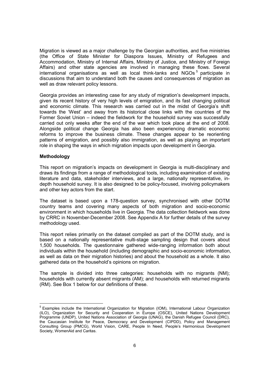Migration is viewed as a major challenge by the Georgian authorities, and five ministries (the Office of State Minister for Diaspora Issues, Ministry of Refugees and Accommodation, Ministry of Internal Affairs, Ministry of Justice, and Ministry of Foreign Affairs) and other state agencies are involved in managing these flows. Several international organisations as well as local think-tanks and NGOs<sup>5</sup> participate in discussions that aim to understand both the causes and consequences of migration as well as draw relevant policy lessons.

Georgia provides an interesting case for any study of migration's development impacts, given its recent history of very high levels of emigration, and its fast changing political and economic climate. This research was carried out in the midst of Georgia's shift towards the 'West' and away from its historical close links with the countries of the Former Soviet Union – indeed the fieldwork for the household survey was successfully carried out only weeks after the end of the war which took place at the end of 2008. Alongside political change Georgia has also been experiencing dramatic economic reforms to improve the business climate. These changes appear to be reorienting patterns of emigration, and possibly also immigration, as well as playing an important role in shaping the ways in which migration impacts upon development in Georgia.

## Methodology

<u>.</u>

This report on migration's impacts on development in Georgia is multi-disciplinary and draws its findings from a range of methodological tools, including examination of existing literature and data, stakeholder interviews, and a large, nationally representative, indepth household survey. It is also designed to be policy-focused, involving policymakers and other key actors from the start.

The dataset is based upon a 178-question survey, synchronised with other DOTM country teams and covering many aspects of both migration and socio-economic environment in which households live in Georgia. The data collection fieldwork was done by CRRC in November-December 2008. See Appendix A for further details of the survey methodology used.

This report relies primarily on the dataset compiled as part of the DOTM study, and is based on a nationally representative multi-stage sampling design that covers about 1,500 households. The questionnaire gathered wide-ranging information both about individuals within the household (including demographic and socio-economic information, as well as data on their migration histories) and about the household as a whole. It also gathered data on the household's opinions on migration.

The sample is divided into three categories: households with no migrants (NM); households with currently absent migrants (AM); and households with returned migrants (RM). See Box 1 below for our definitions of these.

<sup>&</sup>lt;sup>5</sup> Examples include the International Organization for Migration (IOM), International Labour Organization (ILO), Organization for Security and Cooperation in Europe (OSCE), United Nations Development Programme (UNDP), United Nations Association of Georgia (UNAG), the Danish Refugee Council (DRC), the Caucasian Institute for Peace, Democracy and Development (CIPDD), Policy and Management Consulting Group (PMCG), World Vision, CARE, People In Need, People's Harmonious Development Society, WomenAid and Caritas.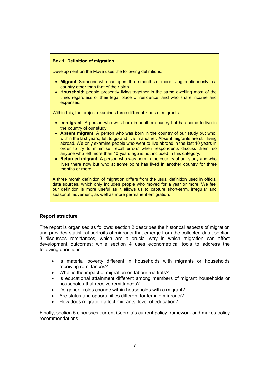### Box 1: Definition of migration

Development on the Move uses the following definitions:

- Migrant: Someone who has spent three months or more living continuously in a country other than that of their birth.
- Household: people presently living together in the same dwelling most of the time, regardless of their legal place of residence, and who share income and expenses.

Within this, the project examines three different kinds of migrants:

- Immigrant: A person who was born in another country but has come to live in the country of our study.
- Absent migrant: A person who was born in the country of our study but who, within the last years, left to go and live in another. Absent migrants are still living abroad. We only examine people who went to live abroad in the last 10 years in order to try to minimise 'recall errors' when respondents discuss them, so anyone who left more than 10 years ago is not included in this category.
- Returned migrant: A person who was born in the country of our study and who lives there now but who at some point has lived in another country for three months or more.

A three month definition of migration differs from the usual definition used in official data sources, which only includes people who moved for a year or more. We feel our definition is more useful as it allows us to capture short-term, irregular and seasonal movement, as well as more permanent emigration.

## Report structure

The report is organised as follows: section 2 describes the historical aspects of migration and provides statistical portraits of migrants that emerge from the collected data; section 3 discusses remittances, which are a crucial way in which migration can affect development outcomes; while section 4 uses econometrical tools to address the following questions:

- Is material poverty different in households with migrants or households receiving remittances?
- What is the impact of migration on labour markets?
- Is educational attainment different among members of migrant households or households that receive remittances?
- Do gender roles change within households with a migrant?
- Are status and opportunities different for female migrants?
- How does migration affect migrants' level of education?

Finally, section 5 discusses current Georgia's current policy framework and makes policy recommendations.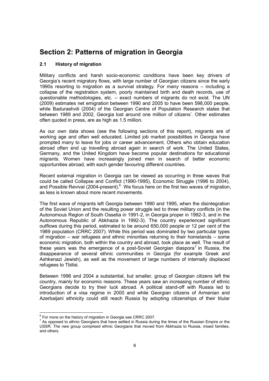# Section 2: Patterns of migration in Georgia

# 2.1 History of migration

Military conflicts and harsh socio-economic conditions have been key drivers of Georgia's recent migratory flows, with large number of Georgian citizens since the early 1990s resorting to migration as a survival strategy. For many reasons – including a collapse of the registration system, poorly maintained birth and death records, use of questionable methodologies, etc. – exact numbers of migrants do not exist. The UN (2009) estimates net emigration between 1990 and 2005 to have been 598,000 people, while Badurashvili (2004) of the Georgian Centre of Population Research states that between 1989 and 2002, Georgia lost around one million of citizens'. Other estimates often quoted in press, are as high as 1.5 million.

As our own data shows (see the following sections of this report), migrants are of working age and often well educated. Limited job market possibilities in Georgia have prompted many to leave for jobs or career advancement. Others who obtain education abroad often end up travelling abroad again in search of work. The United States, Germany, and the United Kingdom have become popular destinations for educational migrants. Women have increasingly joined men in search of better economic opportunities abroad, with each gender favouring different countries.

Recent external migration in Georgia can be viewed as occurring in three waves that could be called Collapse and Conflict (1990-1995), Economic Struggle (1996 to 2004), and Possible Revival (2004-present). $6$  We focus here on the first two waves of migration, as less is known about more recent movements.

The first wave of migrants left Georgia between 1990 and 1995, when the disintegration of the Soviet Union and the resulting power struggle led to three military conflicts (in the Autonomous Region of South Ossetia in 1991-2, in Georgia proper in 1992-3, and in the Autonomous Republic of Abkhazia in 1992-3). The country experienced significant outflows during this period, estimated to be around 650,000 people or 12 per cent of the 1989 population (CRRC 2007). While this period was dominated by two particular types of migration – war refugees and ethnic minorities returning to their homelands – some economic migration, both within the country and abroad, took place as well. The result of these years was the emergence of a post-Soviet Georgian diaspora<sup>7</sup> in Russia, the disappearance of several ethnic communities in Georgia (for example Greek and Ashkenazi Jewish), as well as the movement of large numbers of internally displaced refugees to Tbilisi.

Between 1996 and 2004 a substantial, but smaller, group of Georgian citizens left the country, mainly for economic reasons. These years saw an increasing number of ethnic Georgians decide to try their luck abroad. A political stand-off with Russia led to introduction of a visa regime in 2000 and while Georgian citizens of Armenian and Azerbaijani ethnicity could still reach Russia by adopting citizenships of their titular

 6 For more on the history of migration in Georgia see CRRC 2007.

 $<sup>7</sup>$  As opposed to ethnic Georgians that have settled in Russia during the times of the Russian Empire or the</sup> USSR. The new group comprised ethnic Georgians that moved from Abkhazia to Russia, mixed families, and others.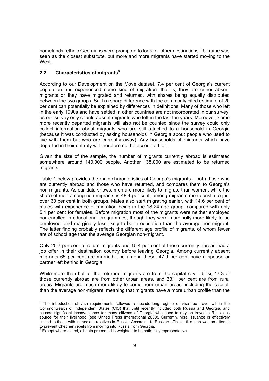homelands, ethnic Georgians were prompted to look for other destinations.<sup>8</sup> Ukraine was seen as the closest substitute, but more and more migrants have started moving to the West.

# 2.2 Characteristics of migrants<sup>9</sup>

According to our Development on the Move dataset, 7.4 per cent of Georgia's current population has experienced some kind of migration: that is, they are either absent migrants or they have migrated and returned, with shares being equally distributed between the two groups. Such a sharp difference with the commonly cited estimate of 20 per cent can potentially be explained by differences in definitions. Many of those who left in the early 1990s and have settled in other countries are not incorporated in our survey, as our survey only counts absent migrants who left in the last ten years. Moreover, some more recently departed migrants will also not be counted since the survey could only collect information about migrants who are still attached to a household in Georgia (because it was conducted by asking households in Georgia about people who used to live with them but who are currently away). Any households of migrants which have departed in their entirety will therefore not be accounted for.

Given the size of the sample, the number of migrants currently abroad is estimated somewhere around 140,000 people. Another 138,000 are estimated to be returned migrants.

Table 1 below provides the main characteristics of Georgia's migrants – both those who are currently abroad and those who have returned, and compares them to Georgia's non-migrants. As our data shows, men are more likely to migrate than women: while the share of men among non-migrants is 48.4 per cent, among migrants men constitute just over 60 per cent in both groups. Males also start migrating earlier, with 14.6 per cent of males with experience of migration being in the 18-24 age group, compared with only 5.1 per cent for females. Before migration most of the migrants were neither employed nor enrolled in educational programmes, though they were marginally more likely to be employed, and marginally less likely to be in education than the average non-migrant. The latter finding probably reflects the different age profile of migrants, of whom fewer are of school age than the average Georgian non-migrant.

Only 25.7 per cent of return migrants and 15.4 per cent of those currently abroad had a job offer in their destination country before leaving Georgia. Among currently absent migrants 65 per cent are married, and among these, 47.9 per cent have a spouse or partner left behind in Georgia.

While more than half of the returned migrants are from the capital city, Tbilisi, 47.3 of those currently abroad are from other urban areas, and 33.1 per cent are from rural areas. Migrants are much more likely to come from urban areas, including the capital, than the average non-migrant, meaning that migrants have a more urban profile than the

 8 The introduction of visa requirements followed a decade-long regime of visa-free travel within the Commonwealth of Independent States (CIS) that until recently included both Russia and Georgia, and caused significant inconvenience for many citizens of Georgia who used to rely on travel to Russia as source for their livelihood (see United Press International 2000). Currently, visa issuance is effectively limited to those with immediate relatives in Russia. According to Russian officials, this step was an attempt

to prevent Chechen rebels from moving into Russia from Georgia.<br><sup>9</sup> Except where stated, all data presented is weighted to be nationally representative.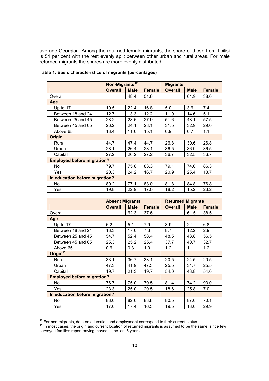average Georgian. Among the returned female migrants, the share of those from Tbilisi is 54 per cent with the rest evenly split between other urban and rural areas. For male returned migrants the shares are more evenly distributed.

|                                   | Non-Migrants <sup>10</sup> |             |               | <b>Migrants</b>          |             |               |
|-----------------------------------|----------------------------|-------------|---------------|--------------------------|-------------|---------------|
|                                   | <b>Overall</b>             | <b>Male</b> | <b>Female</b> | <b>Overall</b>           | <b>Male</b> | <b>Female</b> |
| Overall                           |                            | 48.4        | 51.6          |                          | 61.9        | 38.0          |
| Age                               |                            |             |               |                          |             |               |
| Up to 17                          | 19.5                       | 22.4        | 16.8          | 5.0                      | 3.6         | 7.4           |
| Between 18 and 24                 | 12.7                       | 13.3        | 12.2          | 11.0                     | 14.6        | 5.1           |
| Between 25 and 45                 | 28.2                       | 28.6        | 27.9          | 51.6                     | 48.1        | 57.5          |
| Between 45 and 65                 | 26.2                       | 24.1        | 28.1          | 31.5                     | 32.9        | 29.0          |
| Above 65                          | 13.4                       | 11.6        | 15.1          | 0.9                      | 0.7         | 1.1           |
| <b>Origin</b>                     |                            |             |               |                          |             |               |
| Rural                             | 44.7                       | 47.4        | 44.7          | 26.8                     | 30.6        | 26.8          |
| Urban                             | 28.1                       | 26.4        | 28.1          | 36.5                     | 36.9        | 36.5          |
| Capital                           | 27.2                       | 26.2        | 27.2          | 36.7                     | 32.5        | 36.7          |
| <b>Employed before migration?</b> |                            |             |               |                          |             |               |
| No                                | 79.7                       | 75.8        | 83.3          | 79.1                     | 74.6        | 86.3          |
| Yes                               | 20.3                       | 24.2        | 16.7          | 20.9                     | 25.4        | 13.7          |
| In education before migration?    |                            |             |               |                          |             |               |
| <b>No</b>                         | 80.2                       | 77.1        | 83.0          | 81.8                     | 84.8        | 76.8          |
| Yes                               | 19.8                       | 22.9        | 17.0          | 18.2                     | 15.2        | 23.2          |
|                                   |                            |             |               |                          |             |               |
|                                   |                            |             |               |                          |             |               |
|                                   | <b>Absent Migrants</b>     |             |               | <b>Returned Migrants</b> |             |               |
|                                   | <b>Overall</b>             | <b>Male</b> | <b>Female</b> | <b>Overall</b>           | <b>Male</b> | <b>Female</b> |
| Overall                           |                            | 62.3        | 37.6          |                          | 61.5        | 38.5          |
| Age                               |                            |             |               |                          |             |               |
| Up to 17                          | 6.2                        | 5.1         | 7.9           | 3.9                      | 2.1         | 6.8           |
| Between 18 and 24                 | 13.3                       | 17.0        | $7.3$         | 8.7                      | 12.2        | 2.9           |
| Between 25 and 45                 | 54.7                       | 52.4        | 58.4          | 48.5                     | 43.8        | 56.5          |
| Between 45 and 65                 | 25.3                       | 25.2        | 25.4          | 37.7                     | 40.7        | 32.7          |
| Above 65                          | 0.6                        | 0.3         | 1.0           | 1.2                      | 1.1         | 1.2           |
| Origin <sup>11</sup>              |                            |             |               |                          |             |               |
| Rural                             | 33.1                       | 36.7        | 33.1          | 20.5                     | 24.5        | 20.5          |
| Urban                             | 47.3                       | 41.9        | 47.3          | 25.5                     | 31.7        | 25.5          |
| Capital                           | 19.7                       | 21.3        | 19.7          | 54.0                     | 43.8        | 54.0          |
| <b>Employed before migration?</b> |                            |             |               |                          |             |               |
| No                                | 76.7                       | 75.0        | 79.5          | 81.4                     | 74.2        | 93.0          |
| Yes                               | 23.3                       | 25.0        | 20.5          | 18.6                     | 25.8        | 7.0           |
| In education before migration?    |                            |             |               |                          |             |               |
| No                                | 83.0                       | 82.6        | 83.8          | 80.5                     | 87.0        | 70.1          |

## Table 1: Basic characteristics of migrants (percentages)

 $\overline{\phantom{a}}$ 

 $10$  For non-migrants, data on education and employment correspond to their current status.

 $11$  In most cases, the origin and current location of returned migrants is assumed to be the same, since few surveyed families report having moved in the last 5 years.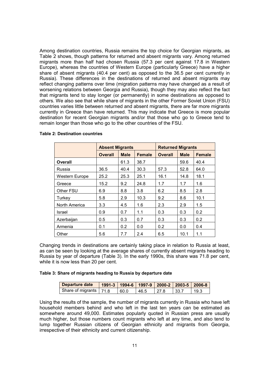Among destination countries, Russia remains the top choice for Georgian migrants, as Table 2 shows, though patterns for returned and absent migrants vary. Among returned migrants more than half had chosen Russia (57.3 per cent against 17.8 in Western Europe), whereas the countries of Western Europe (particularly Greece) have a higher share of absent migrants (40.4 per cent) as opposed to the 36.5 per cent currently in Russia). These differences in the destinations of returned and absent migrants may reflect changing patterns over time (migration patterns may have changed as a result of worsening relations between Georgia and Russia), though they may also reflect the fact that migrants tend to stay longer (or permanently) in some destinations as opposed to others. We also see that while share of migrants in the other Former Soviet Union (FSU) countries varies little between returned and absent migrants, there are far more migrants currently in Greece than have returned. This may indicate that Greece is more popular destination for recent Georgian migrants and/or that those who go to Greece tend to remain longer than those who go to the other countries of the FSU.

|                | <b>Absent Migrants</b> |             |               | <b>Returned Migrants</b> |             |               |  |
|----------------|------------------------|-------------|---------------|--------------------------|-------------|---------------|--|
|                | <b>Overall</b>         | <b>Male</b> | <b>Female</b> | <b>Overall</b>           | <b>Male</b> | <b>Female</b> |  |
| <b>Overall</b> |                        | 61.3        | 38.7          |                          | 59.6        | 40.4          |  |
| Russia         | 36.5                   | 40.4        | 30.3          | 57.3                     | 52.8        | 64.0          |  |
| Western Europe | 25.2                   | 25.3        | 25.1          | 16.1                     | 14.8        | 18.1          |  |
| Greece         | 15.2                   | 9.2         | 24.8          | 1.7                      | 1.7         | 1.6           |  |
| Other FSU      | 6.9                    | 8.8         | 3.8           | 6.2                      | 8.5         | 2.8           |  |
| Turkey         | 5.8                    | 2.9         | 10.3          | 9.2                      | 8.6         | 10.1          |  |
| North America  | 3.3                    | 4.5         | 1.6           | 2.3                      | 2.9         | 1.5           |  |
| Israel         | 0.9                    | 0.7         | 1.1           | 0.3                      | 0.3         | 0.2           |  |
| Azerbaijan     | 0.5                    | 0.3         | 0.7           | 0.3                      | 0.3         | 0.2           |  |
| Armenia        | 0.1                    | 0.2         | 0.0           | 0.2                      | 0.0         | 0.4           |  |
| Other          | 5.6                    | 7.7         | 2.4           | 6.5                      | 10.1        | 1.1           |  |

#### Table 2: Destination countries

Changing trends in destinations are certainly taking place in relation to Russia at least, as can be seen by looking at the average shares of currently absent migrants heading to Russia by year of departure (Table 3). In the early 1990s, this share was 71.8 per cent, while it is now less than 20 per cent.

#### Table 3: Share of migrants heading to Russia by departure date

| Departure date           |      | 1991-3   1994-6   1997-9   2000-2   2003-5   2006-8 |       |       |      |
|--------------------------|------|-----------------------------------------------------|-------|-------|------|
| Share of migrants   71.8 | 60.0 | 46.5                                                | 127.8 | 133.7 | 19.3 |

Using the results of the sample, the number of migrants currently in Russia who have left household members behind and who left in the last ten years can be estimated as somewhere around 49,000. Estimates popularly quoted in Russian press are usually much higher, but those numbers count migrants who left at any time, and also tend to lump together Russian citizens of Georgian ethnicity and migrants from Georgia, irrespective of their ethnicity and current citizenship.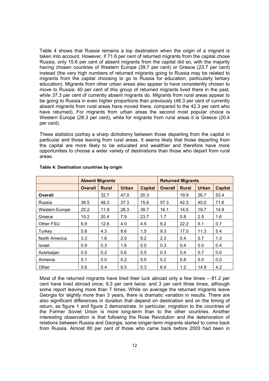Table 4 shows that Russia remains a top destination when the origin of a migrant is taken into account. However, if 71.6 per cent of returned migrants from the capital chose Russia, only 15.6 per cent of absent migrants from the capital did so, with the majority having chosen countries of Western Europe (39.7 per cent) or Greece (23.7 per cent) instead (the very high numbers of returned migrants going to Russia may be related to migrants from the capital choosing to go to Russia for education, particularly tertiary education). Migrants from other urban areas also appear to have consistently chosen to move to Russia: 40 per cent of this group of returned migrants lived there in the past, while 37.3 per cent of currently absent migrants do. Migrants from rural areas appear to be going to Russia in even higher proportions than previously (48.3 per cent of currently absent migrants from rural areas have moved there, compared to the 42.3 per cent who have returned). For migrants from urban areas the second most popular choice is Western Europe (28.3 per cent), while for migrants from rural areas it is Greece (20.4 per cent).

These statistics portray a sharp dichotomy between those departing from the capital in particular and those leaving from rural areas. It seems likely that those departing from the capital are more likely to be educated and wealthier and therefore have more opportunities to choose a wider variety of destinations than those who depart from rural areas.

|                       |                | <b>Absent Migrants</b> | <b>Returned Migrants</b> |                |                |              |              |                |
|-----------------------|----------------|------------------------|--------------------------|----------------|----------------|--------------|--------------|----------------|
|                       | <b>Overall</b> | <b>Rural</b>           | <b>Urban</b>             | <b>Capital</b> | <b>Overall</b> | <b>Rural</b> | <b>Urban</b> | <b>Capital</b> |
| Overall               |                | 32.7                   | 47.0                     | 20.3           |                | 19.9         | 26.7         | 53.4           |
| Russia                | 36.5           | 48.3                   | 37.3                     | 15.6           | 57.3           | 42.3         | 40.0         | 71.6           |
| <b>Western Europe</b> | 25.2           | 11.9                   | 28.3                     | 39.7           | 16.1           | 14.5         | 19.7         | 14.9           |
| Greece                | 15.2           | 20.4                   | 7.9                      | 23.7           | 1.7            | 0.8          | 2.5          | 1.6            |
| Other FSU             | 6.9            | 12.6                   | 4.0                      | 4.5            | 6.2            | 22.2         | 5.1          | 0.7            |
| Turkey                | 5.8            | 4.3                    | 8.6                      | 1.5            | 9.3            | 17.0         | 11.3         | 5.4            |
| North America         | 3.3            | 1.6                    | 2.0                      | 9.2            | 2.3            | 0.4          | 5.7          | 1.3            |
| Israel                | 0.9            | 0.3                    | 1.6                      | 0.0            | 0.3            | 0.4          | 0.0          | 0.4            |
| Azerbaijan            | 0.5            | 0.2                    | 0.6                      | 0.5            | 0.3            | 0.4          | 0.7          | 0.0            |
| Armenia               | 0.1            | 0.0                    | 0.2                      | 0.0            | 0.2            | 0.8          | 0.0          | 0.0            |
| Other                 | 5.6            | 0.4                    | 9.5                      | 5.3            | 6.4            | 1.2          | 14.9         | 4.2            |

### Table 4: Destination countries by origin

Most of the returned migrants have tried their luck abroad only a few times – 81.2 per cent have lived abroad once; 9.3 per cent twice; and 3 per cent three times, although some report leaving more than 7 times. While on average the returned migrants leave Georgia for slightly more than 3 years, there is dramatic variation in results. There are also significant differences in duration that depend on destination and on the timing of return, as figure 1 and figure 2 demonstrate. In particular, migration to the countries of the Former Soviet Union is more long-term than to the other countries. Another interesting observation is that following the Rose Revolution and the deterioration of relations between Russia and Georgia, some longer-term migrants started to come back from Russia. Almost 80 per cent of those who came back before 2003 had been in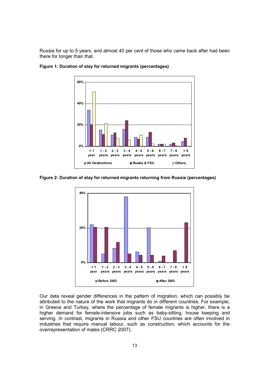Russia for up to 5 years, and almost 40 per cent of those who came back after had been there for longer than that.



Figure 1: Duration of stay for returned migrants (percentages)

Figure 2: Duration of stay for returned migrants returning from Russia (percentages)



Our data reveal gender differences in the pattern of migration, which can possibly be attributed to the nature of the work that migrants do in different countries. For example, in Greece and Turkey, where the percentage of female migrants is higher, there is a higher demand for female-intensive jobs such as baby-sitting, house keeping and serving. In contrast, migrants in Russia and other FSU countries are often involved in industries that require manual labour, such as construction, which accounts for the overrepresentation of males (CRRC 2007).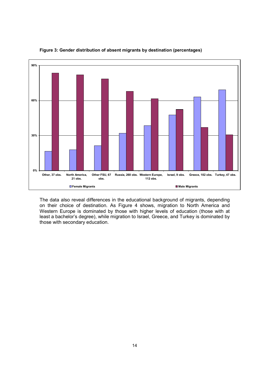

Figure 3: Gender distribution of absent migrants by destination (percentages)

The data also reveal differences in the educational background of migrants, depending on their choice of destination. As Figure 4 shows, migration to North America and Western Europe is dominated by those with higher levels of education (those with at least a bachelor's degree), while migration to Israel, Greece, and Turkey is dominated by those with secondary education.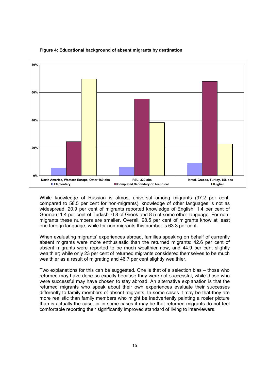

#### Figure 4: Educational background of absent migrants by destination

While knowledge of Russian is almost universal among migrants (97.2 per cent, compared to 58.5 per cent for non-migrants), knowledge of other languages is not as widespread. 20.9 per cent of migrants reported knowledge of English; 1.4 per cent of German; 1.4 per cent of Turkish; 0.8 of Greek and 8.5 of some other language. For nonmigrants these numbers are smaller. Overall, 98.5 per cent of migrants know at least one foreign language, while for non-migrants this number is 63.3 per cent.

When evaluating migrants' experiences abroad, families speaking on behalf of currently absent migrants were more enthusiastic than the returned migrants: 42.6 per cent of absent migrants were reported to be much wealthier now, and 44.9 per cent slightly wealthier; while only 23 per cent of returned migrants considered themselves to be much wealthier as a result of migrating and 46.7 per cent slightly wealthier.

Two explanations for this can be suggested. One is that of a selection bias – those who returned may have done so exactly because they were not successful, while those who were successful may have chosen to stay abroad. An alternative explanation is that the returned migrants who speak about their own experiences evaluate their successes differently to family members of absent migrants. In some cases it may be that they are more realistic than family members who might be inadvertently painting a rosier picture than is actually the case, or in some cases it may be that returned migrants do not feel comfortable reporting their significantly improved standard of living to interviewers.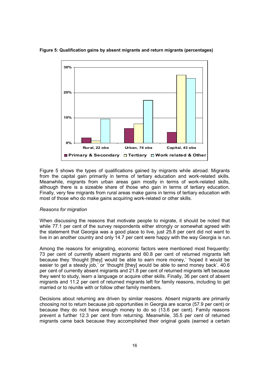

#### Figure 5: Qualification gains by absent migrants and return migrants (percentages)

Figure 5 shows the types of qualifications gained by migrants while abroad. Migrants from the capital gain primarily in terms of tertiary education and work-related skills. Meanwhile, migrants from urban areas gain mostly in terms of work-related skills, although there is a sizeable share of those who gain in terms of tertiary education. Finally, very few migrants from rural areas make gains in terms of tertiary education with most of those who do make gains acquiring work-related or other skills.

### Reasons for migration

When discussing the reasons that motivate people to migrate, it should be noted that while 77.1 per cent of the survey respondents either strongly or somewhat agreed with the statement that Georgia was a good place to live, just 25.8 per cent did not want to live in an another country and only 14.7 per cent were happy with the way Georgia is run.

Among the reasons for emigrating, economic factors were mentioned most frequently: 73 per cent of currently absent migrants and 60.8 per cent of returned migrants left because they 'thought [they] would be able to earn more money,' 'hoped it would be easier to get a steady job,' or 'thought [they] would be able to send money back', 40.6 per cent of currently absent migrants and 21.8 per cent of returned migrants left because they went to study, learn a language or acquire other skills. Finally, 36 per cent of absent migrants and 11.2 per cent of returned migrants left for family reasons, including to get married or to reunite with or follow other family members.

Decisions about returning are driven by similar reasons. Absent migrants are primarily choosing not to return because job opportunities in Georgia are scarce (57.9 per cent) or because they do not have enough money to do so (13.6 per cent). Family reasons prevent a further 12.3 per cent from returning. Meanwhile, 35.5 per cent of returned migrants came back because they accomplished their original goals (earned a certain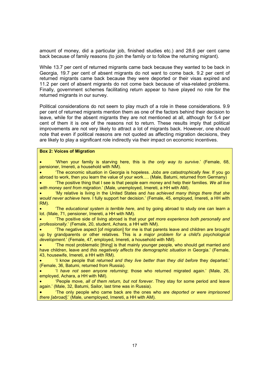amount of money, did a particular job, finished studies etc.) and 28.6 per cent came back because of family reasons (to join the family or to follow the returning migrant).

While 13.7 per cent of returned migrants came back because they wanted to be back in Georgia, 19.7 per cent of absent migrants do not want to come back. 9.2 per cent of returned migrants came back because they were deported or their visas expired and 11.2 per cent of absent migrants do not come back because of visa-related problems. Finally, government schemes facilitating return appear to have played no role for the returned migrants in our survey.

Political considerations do not seem to play much of a role in these considerations. 9.9 per cent of returned migrants mention them as one of the factors behind their decision to leave, while for the absent migrants they are not mentioned at all, although for 5.4 per cent of them it is one of the reasons not to return. These results imply that political improvements are not very likely to attract a lot of migrants back. However, one should note that even if political reasons are not quoted as affecting migration decisions, they are likely to play a significant role indirectly via their impact on economic incentives.

### Box 2: Voices of Migration

• 'When your family is starving here, this is the only way to survive.' (Female, 68, pensioner, Imereti, a household with NM).

• 'The economic situation in Georgia is hopeless. Jobs are catastrophically few. If you go abroad to work, then you learn the value of your work…. (Male, Batumi, returned from Germany)

The positive thing that I see is that people earn money and help their families. We all live with money sent from migration.' (Male, unemployed, Imereti, a HH with AM).

• 'My relative is living in the United States and has achieved many things there that she would never achieve here. I fully support her decision.' (Female, 45, employed, Imereti, a HH with RM).

• 'The educational system is terrible here, and by going abroad to study one can learn a lot. (Male, 71, pensioner, Imereti, a HH with NM).

• The positive side of living abroad is that your get more experience both personally and professionally.' (Female, 20, student, Achara, a HH with NM).

• 'The negative aspect [of migration] for me is that parents leave and children are brought up by grandparents or other relatives. This is a major problem for a child's psychological development.' (Female, 47, employed, Imereti, a household with NM).

• 'The most problematic [thing] is that mainly younger people, who should get married and have children, leave and this negatively affects the demographic situation in Georgia.' (Female, 43, housewife, Imereti, a HH with RM).

• 'I know people that returned and they live better than they did before they departed.' (Female, 36, Batumi, returned from Russia).

• 'I have not seen anyone returning; those who returned migrated again.' (Male, 26, employed, Achara, a HH with NM).

• 'People move, all of them return, but not forever. They stay for some period and leave again.' (Male, 32, Batumi, Sailor, last time was in Russia).

• The only people who came back are the ones who are deported or were imprisoned there [abroad].' (Male, unemployed, Imereti, a HH with AM).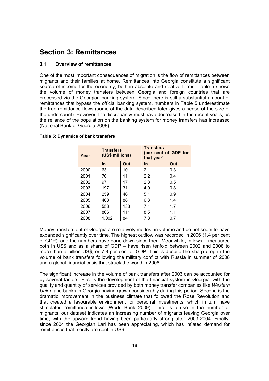# Section 3: Remittances

## 3.1 Overview of remittances

One of the most important consequences of migration is the flow of remittances between migrants and their families at home. Remittances into Georgia constitute a significant source of income for the economy, both in absolute and relative terms. Table 5 shows the volume of money transfers between Georgia and foreign countries that are processed via the Georgian banking system. Since there is still a substantial amount of remittances that bypass the official banking system, numbers in Table 5 underestimate the true remittance flows (some of the data described later gives a sense of the size of the undercount). However, the discrepancy must have decreased in the recent years, as the reliance of the population on the banking system for money transfers has increased (National Bank of Georgia 2008).

| Year | <b>Transfers</b><br>(US\$ millions) |     | <b>Transfers</b><br>(per cent of GDP for<br>that year) |     |  |  |
|------|-------------------------------------|-----|--------------------------------------------------------|-----|--|--|
|      | In                                  | Out | In                                                     | Out |  |  |
| 2000 | 63                                  | 10  | 2.1                                                    | 0.3 |  |  |
| 2001 | 70                                  | 11  | 2.2                                                    | 0.4 |  |  |
| 2002 | 97                                  | 17  | 2.8                                                    | 0.5 |  |  |
| 2003 | 197                                 | 31  | 4.9                                                    | 0.8 |  |  |
| 2004 | 259                                 | 46  | 5.1                                                    | 0.9 |  |  |
| 2005 | 403                                 | 88  | 6.3                                                    | 1.4 |  |  |
| 2006 | 553                                 | 133 | 7.1                                                    | 1.7 |  |  |
| 2007 | 866                                 | 111 | 8.5                                                    | 1.1 |  |  |
| 2008 | 1,002                               | 84  | 7.8                                                    | 0.7 |  |  |

## Table 5: Dynamics of bank transfers

Money transfers out of Georgia are relatively modest in volume and do not seem to have expanded significantly over time. The highest outflow was recorded in 2006 (1.4 per cent of GDP), and the numbers have gone down since then. Meanwhile, inflows – measured both in US\$ and as a share of GDP – have risen tenfold between 2002 and 2008 to more than a billion US\$, or 7.8 per cent of GDP. This is despite the sharp drop in the volume of bank transfers following the military conflict with Russia in summer of 2008 and a global financial crisis that struck the world in 2008.

The significant increase in the volume of bank transfers after 2003 can be accounted for by several factors. First is the development of the financial system in Georgia, with the quality and quantity of services provided by both money transfer companies like Western Union and banks in Georgia having grown considerably during this period. Second is the dramatic improvement in the business climate that followed the Rose Revolution and that created a favourable environment for personal investments, which in turn have stimulated remittance inflows (World Bank 2009). Third is a rise in the number of migrants: our dataset indicates an increasing number of migrants leaving Georgia over time, with the upward trend having been particularly strong after 2003-2004. Finally, since 2004 the Georgian Lari has been appreciating, which has inflated demand for remittances that mostly are sent in US\$.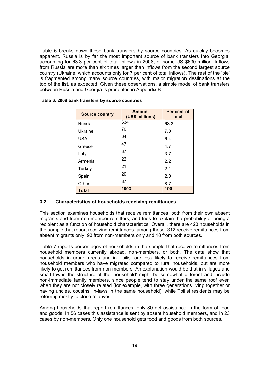Table 6 breaks down these bank transfers by source countries. As quickly becomes apparent, Russia is by far the most important source of bank transfers into Georgia, accounting for 63.3 per cent of total inflows in 2008, or some US \$630 million. Inflows from Russia are more than six times larger than inflows from the second largest source country (Ukraine, which accounts only for 7 per cent of total inflows). The rest of the 'pie' is fragmented among many source countries, with major migration destinations at the top of the list, as expected. Given these observations, a simple model of bank transfers between Russia and Georgia is presented in Appendix B.

| <b>Source country</b> | <b>Amount</b><br>(US\$ millions) | Per cent of<br>total |
|-----------------------|----------------------------------|----------------------|
| Russia                | 634                              | 63.3                 |
| Ukraine               | 70                               | 7.0                  |
| <b>USA</b>            | 64                               | 6.4                  |
| Greece                | 47                               | 4.7                  |
| Italy                 | 37                               | 3.7                  |
| Armenia               | 22                               | 2.2                  |
| Turkey                | 21                               | 2.1                  |
| Spain                 | 20                               | 2.0                  |
| Other                 | 87                               | 8.7                  |
| <b>Total</b>          | 1003                             | 100                  |

## Table 6: 2008 bank transfers by source countries

#### 3.2 Characteristics of households receiving remittances

This section examines households that receive remittances, both from their own absent migrants and from non-member remitters, and tries to explain the probability of being a recipient as a function of household characteristics. Overall, there are 423 households in the sample that report receiving remittances: among these, 312 receive remittances from absent migrants only, 93 from non-members only and 18 from both sources.

Table 7 reports percentages of households in the sample that receive remittances from household members currently abroad, non-members, or both. The data show that households in urban areas and in Tbilisi are less likely to receive remittances from household members who have migrated compared to rural households, but are more likely to get remittances from non-members. An explanation would be that in villages and small towns the structure of the 'household' might be somewhat different and include non-immediate family members, since people tend to stay under the same roof even when they are not closely related (for example, with three generations living together or having uncles, cousins, in-laws in the same household), while Tbilisi residents may be referring mostly to close relatives.

Among households that report remittances, only 80 get assistance in the form of food and goods. In 56 cases this assistance is sent by absent household members, and in 23 cases by non-members. Only one household gets food and goods from both sources.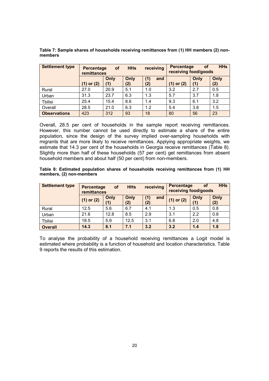| <b>Settlement type</b> | receiving<br><b>HHs</b><br><b>of</b><br><b>Percentage</b><br>remittances |             | <b>HHs</b><br>Percentage<br><b>of</b><br>receiving food/goods |                   |            |             |             |
|------------------------|--------------------------------------------------------------------------|-------------|---------------------------------------------------------------|-------------------|------------|-------------|-------------|
|                        | or $(2)$<br>(1)                                                          | Only<br>(1) | Only<br>(2)                                                   | (1)<br>and<br>(2) | (1) or (2) | Only<br>(1) | Only<br>(2) |
| Rural                  | 27.0                                                                     | 20.9        | 5.1                                                           | 1.0               | 3.2        | 2.7         | 0.5         |
| Urban                  | 31.3                                                                     | 23.7        | 6.3                                                           | 1.3               | 5.7        | 3.7         | 1.8         |
| <b>Tbilisi</b>         | 25.4                                                                     | 15.4        | 8.6                                                           | 1.4               | 9.3        | 6.1         | 3.2         |
| Overall                | 28.5                                                                     | 21.0        | 6.3                                                           | 1.2               | 5.4        | 3.8         | 1.5         |
| <b>Observations</b>    | 423                                                                      | 312         | 93                                                            | 18                | 80         | 56          | 23          |

Table 7: Sample shares of households receiving remittances from (1) HH members (2) nonmembers

Overall, 28.5 per cent of households in the sample report receiving remittances. However, this number cannot be used directly to estimate a share of the entire population, since the design of the survey implied over-sampling households with migrants that are more likely to receive remittances. Applying appropriate weights, we estimate that 14.3 per cent of the households in Georgia receive remittances (Table 8). Slightly more than half of these households (57 per cent) get remittances from absent household members and about half (50 per cent) from non-members.

|                          |  | Table 8: Estimated population shares of households receiving remittances from (1) HH |  |  |  |
|--------------------------|--|--------------------------------------------------------------------------------------|--|--|--|
| members, (2) non-members |  |                                                                                      |  |  |  |

| <b>Settlement type</b> | <b>Percentage</b><br>remittances | <b>of</b>   | <b>HHs</b>  | receiving         | <b>Percentage</b><br><b>of</b><br>receiving food/goods |             | <b>HHs</b>  |
|------------------------|----------------------------------|-------------|-------------|-------------------|--------------------------------------------------------|-------------|-------------|
|                        | $(1)$ or $(2)$                   | Only<br>(1) | Only<br>(2) | (1)<br>and<br>(2) | $(1)$ or $(2)$                                         | Only<br>(1) | Only<br>(2) |
| Rural                  | 12.5                             | 5.6         | 6.7         | 4.1               | 1.3                                                    | 0.5         | 0.8         |
| Urban                  | 21.6                             | 12.8        | 8.5         | 2.9               | 3.1                                                    | 2.2         | 0.8         |
| Tbilisi                | 18.5                             | 5.9         | 12.5        | 3.1               | 6.8                                                    | 2.0         | 4.8         |
| <b>Overall</b>         | 14.3                             | 8.1         | 7.1         | 3.2               | 3.2                                                    | 1.4         | 1.8         |

To analyse the probability of a household receiving remittances a Logit model is estimated where probability is a function of household and location characteristics. Table 9 reports the results of this estimation.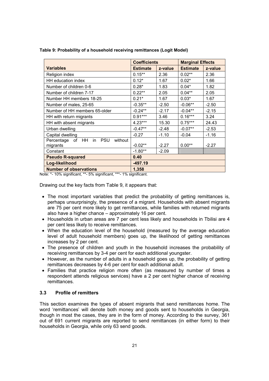|                                                          | <b>Coefficients</b> |         | <b>Marginal Effects</b> |         |  |
|----------------------------------------------------------|---------------------|---------|-------------------------|---------|--|
| <b>Variables</b>                                         | <b>Estimate</b>     | z-value | <b>Estimate</b>         | z-value |  |
| Religion index                                           | $0.15***$           | 2.36    | $0.02**$                | 2.36    |  |
| HH education index                                       | $0.12*$             | 1.67    | $0.02*$                 | 1.66    |  |
| Number of children 0-6                                   | $0.28*$             | 1.83    | $0.04*$                 | 1.82    |  |
| Number of children 7-17                                  | $0.22**$            | 2.05    | $0.04***$               | 2.05    |  |
| Number HH members 18-25                                  | $0.21*$             | 1.67    | $0.03*$                 | 1.67    |  |
| Number of males, 25-65                                   | $-0.35**$           | $-2.50$ | $-0.06**$               | $-2.50$ |  |
| Number of HH members 65-older                            | $-0.24***$          | $-2.17$ | $-0.04**$               | $-2.15$ |  |
| HH with return migrants                                  | $0.91***$           | 3.46    | $0.16***$               | 3.24    |  |
| HH with absent migrants                                  | $4.23***$           | 15.30   | $0.75***$               | 24.43   |  |
| Urban dwelling                                           | $-0.47**$           | $-2.48$ | $-0.07**$               | $-2.53$ |  |
| Capital dwelling                                         | $-0.27$             | $-1.10$ | $-0.04$                 | $-1.16$ |  |
| Percentage of HH in<br><b>PSU</b><br>without<br>migrants | $-0.02**$           | $-2.27$ | $0.00**$                | $-2.27$ |  |
| Constant                                                 | $-1.80**$           | $-2.09$ |                         |         |  |
| <b>Pseudo R-squared</b>                                  | 0.40                |         |                         |         |  |
| Log-likelihood                                           | -497.19             |         |                         |         |  |
| <b>Number of observations</b>                            | 1,358               |         |                         |         |  |

Table 9: Probability of a household receiving remittances (Logit Model)

Note: \*- 10% significant, \*\*- 5% significant, \*\*\*- 1% significant.

Drawing out the key facts from Table 9, it appears that:

- The most important variables that predict the probability of getting remittances is, perhaps unsurprisingly, the presence of a migrant. Households with absent migrants are 75 per cent more likely to get remittances, while families with returned migrants also have a higher chance – approximately 16 per cent.
- Households in urban areas are 7 per cent less likely and households in Tbilisi are 4 per cent less likely to receive remittances.
- When the education level of the household (measured by the average education level of adult household members) goes up, the likelihood of getting remittances increases by 2 per cent.
- The presence of children and youth in the household increases the probability of receiving remittances by 3-4 per cent for each additional youngster.
- However, as the number of adults in a household goes up, the probability of getting remittances decreases by 4-6 per cent for each additional adult.
- Families that practice religion more often (as measured by number of times a respondent attends religious services) have a 2 per cent higher chance of receiving remittances.

## 3.3 Profile of remitters

This section examines the types of absent migrants that send remittances home. The word 'remittances' will denote both money and goods sent to households in Georgia. though in most the cases, they are in the form of money. According to the survey, 361 out of 691 current migrants are reported to send remittances (in either form) to their households in Georgia, while only 63 send goods.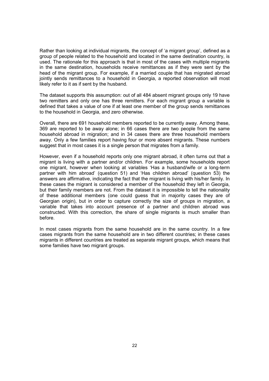Rather than looking at individual migrants, the concept of 'a migrant group', defined as a group of people related to the household and located in the same destination country, is used. The rationale for this approach is that in most of the cases with multiple migrants in the same destination, households receive remittances as if they were sent by the head of the migrant group. For example, if a married couple that has migrated abroad jointly sends remittances to a household in Georgia, a reported observation will most likely refer to it as if sent by the husband.

The dataset supports this assumption: out of all 484 absent migrant groups only 19 have two remitters and only one has three remitters. For each migrant group a variable is defined that takes a value of one if at least one member of the group sends remittances to the household in Georgia, and zero otherwise.

Overall, there are 691 household members reported to be currently away. Among these, 369 are reported to be away alone; in 66 cases there are two people from the same household abroad in migration; and in 34 cases there are three household members away. Only a few families report having four or more absent migrants. These numbers suggest that in most cases it is a single person that migrates from a family.

However, even if a household reports only one migrant abroad, it often turns out that a migrant is living with a partner and/or children. For example, some households report one migrant, however when looking at variables 'Has a husband/wife or a long-term partner with him abroad' (question 51) and 'Has children abroad' (question 53) the answers are affirmative, indicating the fact that the migrant is living with his/her family. In these cases the migrant is considered a member of the household they left in Georgia, but their family members are not. From the dataset it is impossible to tell the nationality of these additional members (one could guess that in majority cases they are of Georgian origin), but in order to capture correctly the size of groups in migration, a variable that takes into account presence of a partner and children abroad was constructed. With this correction, the share of single migrants is much smaller than before.

In most cases migrants from the same household are in the same country. In a few cases migrants from the same household are in two different countries; in these cases migrants in different countries are treated as separate migrant groups, which means that some families have two migrant groups.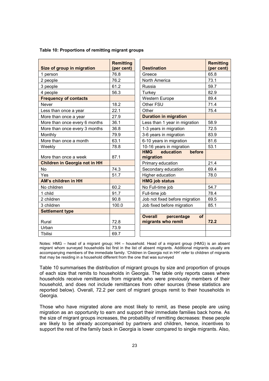| Size of group in migration           | <b>Remitting</b><br>(per cent) | <b>Destination</b>                                       | <b>Remitting</b><br>(per cent) |
|--------------------------------------|--------------------------------|----------------------------------------------------------|--------------------------------|
| 1 person                             | 76.8                           | Greece                                                   | 65.8                           |
| 2 people                             | 76.2                           | North America                                            | 73.1                           |
| 3 people                             | 61.2                           | Russia                                                   | 59.7                           |
| 4 people                             | 56.3                           | Turkey                                                   | 82.9                           |
| <b>Frequency of contacts</b>         |                                | <b>Western Europe</b>                                    | 89.4                           |
| Never                                | 18.2                           | Other FSU                                                | 71.4                           |
| Less than once a year                | 22.1                           | Other                                                    | 75.4                           |
| More than once a year                | 27.9                           | <b>Duration in migration</b>                             |                                |
| More than once every 6 months        | 36.1                           | Less than 1 year in migration                            | 58.9                           |
| More than once every 3 months        | 36.8                           | 1-3 years in migration                                   | 72.5                           |
| Monthly                              | 79.9                           | 3-6 years in migration                                   | 83.9                           |
| More than once a month               | 63.1                           | 6-10 years in migration                                  | 81.6                           |
| Weekly                               | 78.8                           | 10-16 years in migration                                 | 53.1                           |
| More than once a week                | 87.1                           | <b>HMG</b><br>education<br>before<br>migration           |                                |
| <b>Children in Georgia not in HH</b> |                                | Primary education                                        | 21.4                           |
| No                                   | 74.3                           | Secondary education                                      | 69.4                           |
| Yes                                  | 51.7                           | Higher education                                         | 78.0                           |
| AM's children in HH                  |                                | <b>HMG job status</b>                                    |                                |
| No children                          | 60.2                           | No Full-time job                                         | 54.7                           |
| 1 child                              | 91.7                           | Full-time job                                            | 78.4                           |
| 2 children                           | 90.8                           | Job not fixed before migration                           | 69.5                           |
| 3 children                           | 100.0                          | Job fixed before migration                               | 85.1                           |
| <b>Settlement type</b>               |                                |                                                          |                                |
| Rural                                | 72.8                           | <b>Overall</b><br>percentage<br>of<br>migrants who remit | 72.2                           |
| Urban                                | 73.9                           |                                                          |                                |
| Tbilisi                              | 69.7                           |                                                          |                                |

#### Table 10: Proportions of remitting migrant groups

Notes: HMG – head of a migrant group; HH – household. Head of a migrant group (HMG) is an absent migrant whom surveyed households list first in the list of absent migrants. Additional migrants usually are accompanying members of the immediate family. 'Children in Georgia not in HH' refer to children of migrants that may be residing in a household different from the one that was surveyed

Table 10 summarises the distribution of migrant groups by size and proportion of groups of each size that remits to households in Georgia. The table only reports cases where households receive remittances from migrants who were previously members of their household, and does not include remittances from other sources (these statistics are reported below). Overall, 72.2 per cent of migrant groups remit to their households in Georgia.

Those who have migrated alone are most likely to remit, as these people are using migration as an opportunity to earn and support their immediate families back home. As the size of migrant groups increases, the probability of remitting decreases: these people are likely to be already accompanied by partners and children, hence, incentives to support the rest of the family back in Georgia is lower compared to single migrants. Also,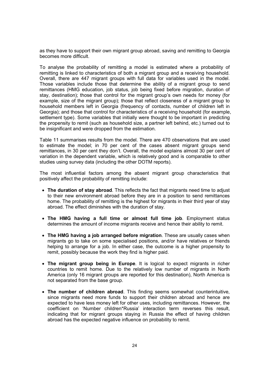as they have to support their own migrant group abroad, saving and remitting to Georgia becomes more difficult.

To analyse the probability of remitting a model is estimated where a probability of remitting is linked to characteristics of both a migrant group and a receiving household. Overall, there are 447 migrant groups with full data for variables used in the model. Those variables include those that determine the ability of a migrant group to send remittances (HMG education, job status, job being fixed before migration, duration of stay, destination); those that control for the migrant group's own needs for money (for example, size of the migrant group); those that reflect closeness of a migrant group to household members left in Georgia (frequency of contacts, number of children left in Georgia); and those that control for characteristics of a receiving household (for example, settlement type). Some variables that initially were thought to be important in predicting the propensity to remit (such as household size, a partner left behind, etc.) turned out to be insignificant and were dropped from the estimation.

Table 11 summarises results from the model. There are 470 observations that are used to estimate the model; in 70 per cent of the cases absent migrant groups send remittances, in 30 per cent they don't. Overall, the model explains almost 30 per cent of variation in the dependent variable, which is relatively good and is comparable to other studies using survey data (including the other DOTM reports).

The most influential factors among the absent migrant group characteristics that positively affect the probability of remitting include:

- The duration of stay abroad. This reflects the fact that migrants need time to adjust to their new environment abroad before they are in a position to send remittances home. The probability of remitting is the highest for migrants in their third year of stay abroad. The effect diminishes with the duration of stay.
- The HMG having a full time or almost full time job. Employment status determines the amount of income migrants receive and hence their ability to remit.
- The HMG having a job arranged before migration. These are usually cases when migrants go to take on some specialised positions, and/or have relatives or friends helping to arrange for a job. In either case, the outcome is a higher propensity to remit, possibly because the work they find is higher paid.
- The migrant group being in Europe. It is logical to expect migrants in richer countries to remit home. Due to the relatively low number of migrants in North America (only 16 migrant groups are reported for this destination), North America is not separated from the base group.
- The number of children abroad. This finding seems somewhat counterintuitive, since migrants need more funds to support their children abroad and hence are expected to have less money left for other uses, including remittances. However, the coefficient on 'Number children\*Russia' interaction term reverses this result, indicating that for migrant groups staying in Russia the effect of having children abroad has the expected negative influence on probability to remit.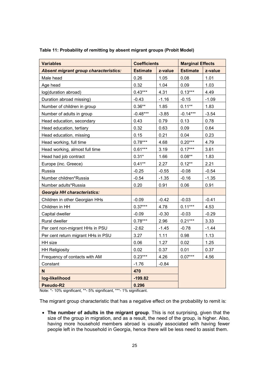| <b>Variables</b>                             | <b>Coefficients</b> |         | <b>Marginal Effects</b> |         |
|----------------------------------------------|---------------------|---------|-------------------------|---------|
| <b>Absent migrant group characteristics:</b> | <b>Estimate</b>     | z-value | <b>Estimate</b>         | z-value |
| Male head                                    | 0.26                | 1.05    | 0.08                    | 1.01    |
| Age head                                     | 0.32                | 1.04    | 0.09                    | 1.03    |
| log(duration abroad)                         | $0.43***$           | 4.31    | $0.13***$               | 4.49    |
| Duration abroad missing)                     | $-0.43$             | $-1.16$ | $-0.15$                 | $-1.09$ |
| Number of children in group                  | $0.36**$            | 1.85    | $0.11**$                | 1.83    |
| Number of adults in group                    | $-0.48***$          | $-3.85$ | $-0.14***$              | $-3.54$ |
| Head education, secondary                    | 0.43                | 0.79    | 0.13                    | 0.78    |
| Head education, tertiary                     | 0.32                | 0.63    | 0.09                    | 0.64    |
| Head education, missing                      | 0.15                | 0.21    | 0.04                    | 0.23    |
| Head working, full time                      | $0.78***$           | 4.68    | $0.20***$               | 4.79    |
| Head working, almost full time               | $0.61***$           | 3.19    | $0.17***$               | 3.61    |
| Head had job contract                        | $0.31*$             | 1.66    | $0.08**$                | 1.83    |
| Europe (inc. Greece)                         | $0.41**$            | 2.27    | $0.12**$                | 2.21    |
| Russia                                       | $-0.25$             | $-0.55$ | $-0.08$                 | $-0.54$ |
| Number children*Russia                       | $-0.54$             | $-1.35$ | $-0.16$                 | $-1.35$ |
| Number adults*Russia                         | 0.20                | 0.91    | 0.06                    | 0.91    |
| <b>Georgia HH characteristics:</b>           |                     |         |                         |         |
| Children in other Georgian HHs               | $-0.09$             | $-0.42$ | $-0.03$                 | $-0.41$ |
| Children in HH                               | $0.37***$           | 4.78    | $0.11***$               | 4.53    |
| Capital dweller                              | $-0.09$             | $-0.30$ | $-0.03$                 | $-0.29$ |
| Rural dweller                                | $0.78***$           | 2.96    | $0.21***$               | 3.33    |
| Per cent non-migrant HHs in PSU              | $-2.62$             | $-1.45$ | $-0.78$                 | $-1.44$ |
| Per cent return migrant HHs in PSU           | 3.27                | 1.11    | 0.98                    | 1.13    |
| HH size                                      | 0.06                | 1.27    | 0.02                    | 1.25    |
| <b>HH Religiosity</b>                        | 0.02                | 0.37    | 0.01                    | 0.37    |
| Frequency of contacts with AM                | $0.23***$           | 4.26    | $0.07***$               | 4.56    |
| Constant                                     | $-1.76$             | $-0.84$ |                         |         |
| N                                            | 470                 |         |                         |         |
| log-likelihood                               | $-199.82$           |         |                         |         |
| Pseudo-R2                                    | 0.296               |         |                         |         |

Table 11: Probability of remitting by absent migrant groups (Probit Model)

Note: \*- 10% significant, \*\*- 5% significant, \*\*\*- 1% significant.

The migrant group characteristic that has a negative effect on the probability to remit is:

• The number of adults in the migrant group. This is not surprising, given that the size of the group in migration, and as a result, the need of the group, is higher. Also, having more household members abroad is usually associated with having fewer people left in the household in Georgia, hence there will be less need to assist them.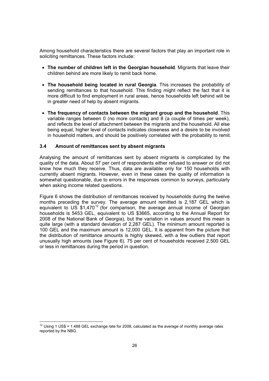Among household characteristics there are several factors that play an important role in soliciting remittances. These factors include:

- The number of children left in the Georgian household. Migrants that leave their children behind are more likely to remit back home.
- The household being located in rural Georgia. This increases the probability of sending remittances to that household. This finding might reflect the fact that it is more difficult to find employment in rural areas, hence households left behind will be in greater need of help by absent migrants.
- The frequency of contacts between the migrant group and the household. This variable ranges between 0 (no more contacts) and 8 (a couple of times per week), and reflects the level of attachment between the migrants and the household. All else being equal, higher level of contacts indicates closeness and a desire to be involved in household matters, and should be positively correlated with the probability to remit.

## 3.4 Amount of remittances sent by absent migrants

Analysing the amount of remittances sent by absent migrants is complicated by the quality of the data. About 57 per cent of respondents either refused to answer or did not know how much they receive. Thus, data are available only for 150 households with currently absent migrants. However, even in these cases the quality of information is somewhat questionable, due to errors in the responses common to surveys, particularly when asking income related questions.

Figure 6 shows the distribution of remittances received by households during the twelve months preceding the survey. The average amount remitted is 2,187 GEL which is equivalent to US  $$1,470^{12}$  (for comparison, the average annual income of Georgian households is 5453 GEL, equivalent to US \$3665, according to the Annual Report for 2008 of the National Bank of Georgia), but the variation in values around this mean is quite large (with a standard deviation of 2,287 GEL). The minimum amount reported is 100 GEL and the maximum amount is 12,000 GEL. It is apparent from the picture that the distribution of remittance amounts is highly skewed, with a few outliers that report unusually high amounts (see Figure 6). 75 per cent of households received 2,500 GEL or less in remittances during the period in question.

 $\overline{\phantom{a}}$  $12$  Using 1 US\$ = 1.488 GEL exchange rate for 2008, calculated as the average of monthly average rates reported by the NBG.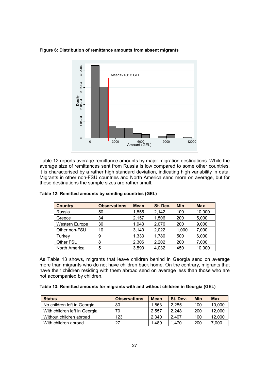Figure 6: Distribution of remittance amounts from absent migrants



Table 12 reports average remittance amounts by major migration destinations. While the average size of remittances sent from Russia is low compared to some other countries, it is characterised by a rather high standard deviation, indicating high variability in data. Migrants in other non-FSU countries and North America send more on average, but for these destinations the sample sizes are rather small.

| <b>Country</b>        | <b>Observations</b> | <b>Mean</b> | St. Dev. | <b>Min</b> | <b>Max</b> |
|-----------------------|---------------------|-------------|----------|------------|------------|
| Russia                | 50                  | 1,855       | 2,142    | 100        | 10,000     |
| Greece                | 34                  | 2,157       | 1,506    | 200        | 5,000      |
| <b>Western Europe</b> | 30                  | 1,943       | 2,076    | 200        | 9,000      |
| Other non-FSU         | 10                  | 3,140       | 2,022    | 1,000      | 7,000      |
| Turkey                | 9                   | 1,333       | 1,780    | 500        | 6,000      |
| Other FSU             | 8                   | 2,306       | 2,202    | 200        | 7,000      |
| North America         | 5                   | 3,590       | 4,032    | 450        | 10,000     |

|  |  |  | Table 12: Remitted amounts by sending countries (GEL) |  |
|--|--|--|-------------------------------------------------------|--|

As Table 13 shows, migrants that leave children behind in Georgia send on average more than migrants who do not have children back home. On the contrary, migrants that have their children residing with them abroad send on average less than those who are not accompanied by children.

| Table 13: Remitted amounts for migrants with and without children in Georgia (GEL) |  |
|------------------------------------------------------------------------------------|--|
|------------------------------------------------------------------------------------|--|

| <b>Status</b>                 | <b>Observations</b> | <b>Mean</b> | St. Dev. | <b>Min</b> | <b>Max</b> |
|-------------------------------|---------------------|-------------|----------|------------|------------|
| No children left in Georgia   | 80                  | 1.863       | 2.285    | 100        | 10,000     |
| With children left in Georgia | 70                  | 2.557       | 2.248    | 200        | 12,000     |
| Without children abroad       | 123                 | 2.340       | 2.407    | 100        | 12.000     |
| With children abroad          | 27                  | 1.489       | 1.470    | 200        | 7,000      |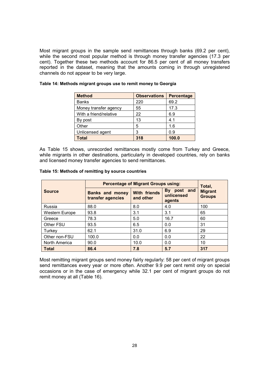Most migrant groups in the sample send remittances through banks (69.2 per cent), while the second most popular method is through money transfer agencies (17.3 per cent). Together these two methods account for 86.5 per cent of all money transfers reported in the dataset, meaning that the amounts coming in through unregistered channels do not appear to be very large.

| <b>Method</b>          | <b>Observations</b> | <b>Percentage</b> |
|------------------------|---------------------|-------------------|
| <b>Banks</b>           | 220                 | 69.2              |
| Money transfer agency  | 55                  | 17.3              |
| With a friend/relative | 22                  | 6.9               |
| By post                | 13                  | 4.1               |
| Other                  | 5                   | 1.6               |
| Unlicensed agent       | 3                   | 0.9               |
| Total                  | 318                 | 100.0             |

### Table 14: Methods migrant groups use to remit money to Georgia

As Table 15 shows, unrecorded remittances mostly come from Turkey and Greece, while migrants in other destinations, particularly in developed countries, rely on banks and licensed money transfer agencies to send remittances.

|                | <b>Percentage of Migrant Groups using:</b>  | Total,                    |                                        |                                 |  |
|----------------|---------------------------------------------|---------------------------|----------------------------------------|---------------------------------|--|
| <b>Source</b>  | <b>Banks and money</b><br>transfer agencies | With friends<br>and other | By<br>post and<br>unlicensed<br>agents | <b>Migrant</b><br><b>Groups</b> |  |
| Russia         | 88.0                                        | 8.0                       | 4.0                                    | 100                             |  |
| Western Europe | 93.8                                        | 3.1                       | 3.1                                    | 65                              |  |
| Greece         | 78.3                                        | 5.0                       | 16.7                                   | 60                              |  |
| Other FSU      | 93.5                                        | 6.5                       | 0.0                                    | 31                              |  |
| Turkey         | 62.1                                        | 31.0                      | 6.9                                    | 29                              |  |
| Other non-FSU  | 100.0                                       | 0.0                       | 0.0                                    | 22                              |  |
| North America  | 90.0                                        | 10.0                      | 0.0                                    | 10                              |  |
| <b>Total</b>   | 86.4                                        | 7.8                       | 5.7                                    | 317                             |  |

### Table 15: Methods of remitting by source countries

Most remitting migrant groups send money fairly regularly: 58 per cent of migrant groups send remittances every year or more often. Another 9.9 per cent remit only on special occasions or in the case of emergency while 32.1 per cent of migrant groups do not remit money at all (Table 16).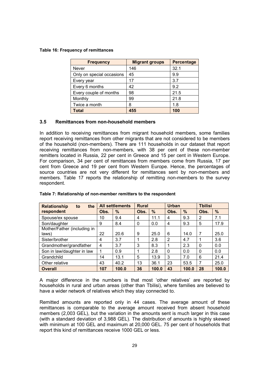### Table 16: Frequency of remittances

| <b>Frequency</b>          | <b>Migrant groups</b> | <b>Percentage</b> |
|---------------------------|-----------------------|-------------------|
| Never                     | 146                   | 32.1              |
| Only on special occasions | 45                    | 9.9               |
| Every year                | 17                    | 3.7               |
| Every 6 months            | 42                    | 9.2               |
| Every couple of months    | 98                    | 21.5              |
| Monthly                   | 99                    | 21.8              |
| Twice a month             | 8                     | 1.8               |
| <b>Total</b>              | 455                   | 100               |

### 3.5 Remittances from non-household members

In addition to receiving remittances from migrant household members, some families report receiving remittances from other migrants that are not considered to be members of the household (non-members). There are 111 households in our dataset that report receiving remittances from non-members, with 38 per cent of these non-member remitters located in Russia, 22 per cent in Greece and 15 per cent in Western Europe. For comparison, 34 per cent of remittances from members come from Russia, 17 per cent from Greece and 19 per cent from Western Europe. Hence, the percentages of source countries are not very different for remittances sent by non-members and members. Table 17 reports the relationship of remitting non-members to the survey respondent.

| <b>Relationship</b><br>the<br>to |      | <b>All settlements</b> | <b>Rural</b> |       | <b>Urban</b> |       | <b>Tbilisi</b> |               |
|----------------------------------|------|------------------------|--------------|-------|--------------|-------|----------------|---------------|
| respondent                       | Obs. | $\frac{9}{6}$          | Obs.         | %     | Obs.         | $\%$  | Obs.           | $\frac{9}{6}$ |
| Spouse/ex spouse                 | 10   | 9.4                    | 4            | 11.1  | 4            | 9.3   | 2              | 7.1           |
| Son/daughter                     | 9    | 8.4                    | 0            | 0.0   | 4            | 9.3   | 5              | 17.9          |
| Mother/Father (including in      |      |                        |              |       |              |       |                |               |
| laws)                            | 22   | 20.6                   | 9            | 25.0  | 6            | 14.0  | $\overline{7}$ | 25.0          |
| Sister/brother                   | 4    | 3.7                    |              | 2.8   | 2            | 4.7   |                | 3.6           |
| Grandmother/grandfather          | 4    | 3.7                    | 3            | 8.3   |              | 2.3   | $\Omega$       | 0.0           |
| Son in law/daughter in law       | 1    | 0.9                    |              | 2.8   | $\Omega$     | 0.0   | 0              | 0.0           |
| Grandchild                       | 14   | 13.1                   | 5            | 13.9  | 3            | 7.0   | 6              | 21.4          |
| Other relative                   | 43   | 40.2                   | 13           | 36.1  | 23           | 53.5  | 7              | 25.0          |
| <b>Overall</b>                   | 107  | 100.0                  | 36           | 100.0 | 43           | 100.0 | 28             | 100.0         |

#### Table 7: Relationship of non-member remitters to the respondent

A major difference in the numbers is that most 'other relatives' are reported by households in rural and urban areas (other than Tbilisi), where families are believed to have a wider network of relatives which they stay connected to.

Remitted amounts are reported only in 44 cases. The average amount of these remittances is comparable to the average amount received from absent household members (2,003 GEL), but the variation in the amounts sent is much larger in this case (with a standard deviation of 3,988 GEL). The distribution of amounts is highly skewed with minimum at 100 GEL and maximum at 20,000 GEL. 75 per cent of households that report this kind of remittances receive 1000 GEL or less.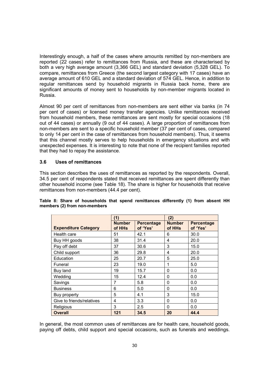Interestingly enough, a half of the cases where amounts remitted by non-members are reported (22 cases) refer to remittances from Russia, and these are characterised by both a very high average amount (3,366 GEL) and standard deviation (5,328 GEL). To compare, remittances from Greece (the second largest category with 17 cases) have an average amount of 610 GEL and a standard deviation of 574 GEL. Hence, in addition to regular remittances send by household migrants in Russia back home, there are significant amounts of money sent to households by non-member migrants located in Russia.

Almost 90 per cent of remittances from non-members are sent either via banks (in 74 per cent of cases) or licensed money transfer agencies. Unlike remittances received from household members, these remittances are sent mostly for special occasions (18 out of 44 cases) or annually (9 out of 44 cases). A large proportion of remittances from non-members are sent to a specific household member (37 per cent of cases, compared to only 14 per cent in the case of remittances from household members). Thus, it seems that this channel mostly serves to help households in emergency situations and with unexpected expenses. It is interesting to note that none of the recipient families reported that they had to repay the assistance.

### 3.6 Uses of remittances

This section describes the uses of remittances as reported by the respondents. Overall, 34.5 per cent of respondents stated that received remittances are spent differently than other household income (see Table 18). The share is higher for households that receive remittances from non-members (44.4 per cent).

|                             | (1)                     |                               | (2)                     |                               |
|-----------------------------|-------------------------|-------------------------------|-------------------------|-------------------------------|
| <b>Expenditure Category</b> | <b>Number</b><br>of HHs | <b>Percentage</b><br>of 'Yes' | <b>Number</b><br>of HHs | <b>Percentage</b><br>of 'Yes' |
| Health care                 | 51                      | 42.1                          | 6                       | 30.0                          |
| Buy HH goods                | 38                      | 31.4                          | 4                       | 20.0                          |
| Pay off debt                | 37                      | 30.6                          | 3                       | 15.0                          |
| Child support               | 36                      | 29.8                          | 4                       | 20.0                          |
| Education                   | 25                      | 20.7                          | 5                       | 25.0                          |
| Funeral                     | 23                      | 19.0                          | 1                       | 5.0                           |
| Buy land                    | 19                      | 15.7                          | 0                       | 0.0                           |
| Wedding                     | 15                      | 12.4                          | 0                       | 0.0                           |
| Savings                     | 7                       | 5.8                           | 0                       | 0.0                           |
| <b>Business</b>             | 6                       | 5.0                           | 0                       | 0.0                           |
| Buy property                | 5                       | 4.1                           | 3                       | 15.0                          |
| Give to friends/relatives   | 4                       | 3.3                           | 0                       | 0.0                           |
| Religious                   | 3                       | 2.5                           | 0                       | 0.0                           |
| <b>Overall</b>              | 121                     | 34.5                          | 20                      | 44.4                          |

### Table 8: Share of households that spend remittances differently (1) from absent HH members (2) from non-members

In general, the most common uses of remittances are for health care, household goods, paying off debts, child support and special occasions, such as funerals and weddings.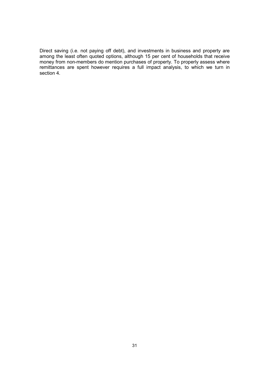Direct saving (i.e. not paying off debt), and investments in business and property are among the least often quoted options, although 15 per cent of households that receive money from non-members do mention purchases of property. To properly assess where remittances are spent however requires a full impact analysis, to which we turn in section 4.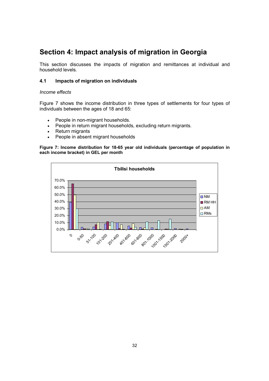# Section 4: Impact analysis of migration in Georgia

This section discusses the impacts of migration and remittances at individual and household levels.

## 4.1 Impacts of migration on individuals

## Income effects

Figure 7 shows the income distribution in three types of settlements for four types of individuals between the ages of 18 and 65:

- People in non-migrant households.
- People in return migrant households, excluding return migrants.
- Return migrants
- People in absent migrant households

Figure 7: Income distribution for 18-65 year old individuals (percentage of population in each income bracket) in GEL per month

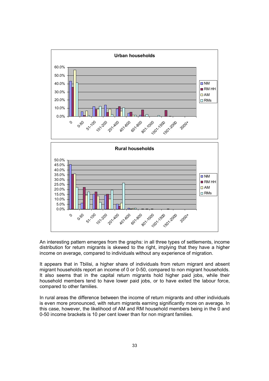

An interesting pattern emerges from the graphs: in all three types of settlements, income distribution for return migrants is skewed to the right, implying that they have a higher income on average, compared to individuals without any experience of migration.

It appears that in Tbilisi, a higher share of individuals from return migrant and absent migrant households report an income of 0 or 0-50, compared to non migrant households. It also seems that in the capital return migrants hold higher paid jobs, while their household members tend to have lower paid jobs, or to have exited the labour force, compared to other families.

In rural areas the difference between the income of return migrants and other individuals is even more pronounced, with return migrants earning significantly more on average. In this case, however, the likelihood of AM and RM household members being in the 0 and 0-50 income brackets is 10 per cent lower than for non migrant families.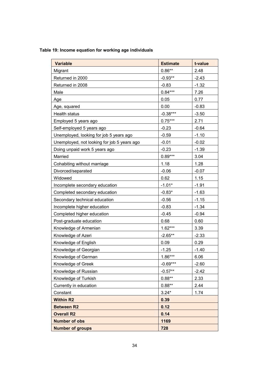## Table 19: Income equation for working age individuals

| <b>Variable</b>                             | <b>Estimate</b> | t-value |  |
|---------------------------------------------|-----------------|---------|--|
| Migrant                                     | $0.86**$        | 2.48    |  |
| Returned in 2000                            | $-0.93**$       | $-2.43$ |  |
| Returned in 2008                            | $-0.83$         | $-1.32$ |  |
| Male                                        | $0.84***$       | 7.26    |  |
| Age                                         | 0.05            | 0.77    |  |
| Age, squared                                | 0.00            | $-0.83$ |  |
| Health status                               | $-0.38***$      | $-3.50$ |  |
| Employed 5 years ago                        | $0.75***$       | 2.71    |  |
| Self-employed 5 years ago                   | $-0.23$         | $-0.64$ |  |
| Unemployed, looking for job 5 years ago     | $-0.59$         | $-1.10$ |  |
| Unemployed, not looking for job 5 years ago | $-0.01$         | $-0.02$ |  |
| Doing unpaid work 5 years ago               | $-0.23$         | $-1.39$ |  |
| Married                                     | $0.89***$       | 3.04    |  |
| Cohabiting without marriage                 | 1.18            | 1.28    |  |
| Divorced/separated                          | $-0.06$         | $-0.07$ |  |
| Widowed                                     | 0.62            | 1.15    |  |
| Incomplete secondary education              | $-1.01*$        | $-1.91$ |  |
| Completed secondary education               | $-0.83*$        | $-1.63$ |  |
| Secondary technical education               | $-0.56$         | $-1.15$ |  |
| Incomplete higher education                 | $-0.83$         | $-1.34$ |  |
| Completed higher education                  | $-0.45$         | $-0.94$ |  |
| Post-graduate education                     | 0.68            | 0.60    |  |
| Knowledge of Armenian                       | $1.62***$       | 3.39    |  |
| Knowledge of Azeri                          | $-2.65**$       | $-2.33$ |  |
| Knowledge of English                        | 0.09            | 0.29    |  |
| Knowledge of Georgian                       | $-1.25$         | $-1.40$ |  |
| Knowledge of German                         | $1.86***$       | 6.06    |  |
| Knowledge of Greek                          | $-0.69***$      | $-2.60$ |  |
| Knowledge of Russian                        | $-0.57**$       | $-2.42$ |  |
| Knowledge of Turkish                        | $0.88**$        | 2.33    |  |
| Currently in education                      | $0.88**$        | 2.44    |  |
| Constant                                    | $3.24*$         | 1.74    |  |
| <b>Within R2</b>                            | 0.39            |         |  |
| <b>Between R2</b>                           | 0.12            |         |  |
| <b>Overall R2</b>                           | 0.14            |         |  |
| <b>Number of obs</b>                        | 1169            |         |  |
| <b>Number of groups</b>                     | 728             |         |  |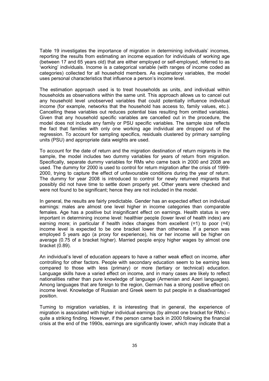Table 19 investigates the importance of migration in determining individuals' incomes, reporting the results from estimating an income equation for individuals of working age (between 17 and 65 years old) that are either employed or self-employed, referred to as 'working' individuals. Income is a categorical variable (with ranges of income coded as categories) collected for all household members. As explanatory variables, the model uses personal characteristics that influence a person's income level.

The estimation approach used is to treat households as units, and individual within households as observations within the same unit. This approach allows us to cancel out any household level unobserved variables that could potentially influence individual income (for example, networks that the household has access to, family values, etc.). Cancelling these variables out reduces potential bias resulting from omitted variables. Given that any household specific variables are cancelled out in the procedure, the model does not include any family or PSU specific variables. The sample size reflects the fact that families with only one working age individual are dropped out of the regression. To account for sampling specifics, residuals clustered by primary sampling units (PSU) and appropriate data weights are used.

To account for the date of return and the migration destination of return migrants in the sample, the model includes two dummy variables for years of return from migration. Specifically, separate dummy variables for RMs who came back in 2000 and 2008 are used. The dummy for 2000 is used to control for return migration after the crisis of 1999- 2000, trying to capture the effect of unfavourable conditions during the year of return. The dummy for year 2008 is introduced to control for newly returned migrants that possibly did not have time to settle down properly yet. Other years were checked and were not found to be significant; hence they are not included in the model.

In general, the results are fairly predictable. Gender has an expected effect on individual earnings: males are almost one level higher in income categories than comparable females. Age has a positive but insignificant effect on earnings. Health status is very important in determining income level: healthier people (lower level of health index) are earning more; in particular if health index changes from excellent  $(=1)$  to poor  $(=4)$ income level is expected to be one bracket lower than otherwise. If a person was employed 5 years ago (a proxy for experience), his or her income will be higher on average (0.75 of a bracket higher). Married people enjoy higher wages by almost one bracket (0.89).

An individual's level of education appears to have a rather weak effect on income, after controlling for other factors. People with secondary education seem to be earning less compared to those with less (primary) or more (tertiary or technical) education. Language skills have a varied effect on income, and in many cases are likely to reflect nationalities rather than pure knowledge of language (Armenian and Azeri languages). Among languages that are foreign to the region, German has a strong positive effect on income level. Knowledge of Russian and Greek seem to put people in a disadvantaged position.

Turning to migration variables, it is interesting that in general, the experience of migration is associated with higher individual earnings (by almost one bracket for RMs) – quite a striking finding. However, if the person came back in 2000 following the financial crisis at the end of the 1990s, earnings are significantly lower, which may indicate that a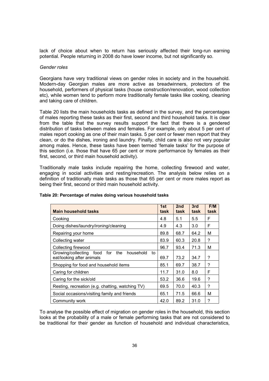lack of choice about when to return has seriously affected their long-run earning potential. People returning in 2008 do have lower income, but not significantly so.

## Gender roles

Georgians have very traditional views on gender roles in society and in the household. Modern-day Georgian males are more active as breadwinners, protectors of the household, performers of physical tasks (house construction/renovation, wood collection etc), while women tend to perform more traditionally female tasks like cooking, cleaning and taking care of children.

Table 20 lists the main households tasks as defined in the survey, and the percentages of males reporting these tasks as their first, second and third household tasks. It is clear from the table that the survey results support the fact that there is a gendered distribution of tasks between males and females. For example, only about 5 per cent of males report cooking as one of their main tasks. 5 per cent or fewer men report that they clean, or do the dishes, ironing and laundry. Finally, child care is also not very popular among males. Hence, these tasks have been termed 'female tasks' for the purpose of this section (i.e. those that have 65 per cent or more performance by females as their first, second, or third main household activity).

Traditionally male tasks include repairing the home, collecting firewood and water, engaging in social activities and resting/recreation. The analysis below relies on a definition of traditionally male tasks as those that 65 per cent or more males report as being their first, second or third main household activity.

| <b>Main household tasks</b>                                                           | 1st<br>task | 2 <sub>nd</sub><br>task | 3rd<br>task | F/M<br>task |
|---------------------------------------------------------------------------------------|-------------|-------------------------|-------------|-------------|
| Cooking                                                                               | 4.8         | 5.1                     | 5.5         | F           |
| Doing dishes/laundry/ironing/cleaning                                                 | 4.9         | 4.3                     | 3.0         | F           |
| Repairing your home                                                                   | 89.8        | 68.7                    | 64.2        | М           |
| Collecting water                                                                      | 83.9        | 60.3                    | 20.8        | ?           |
| Collecting firewood                                                                   | 96.7        | 93.4                    | 71.3        | М           |
| Growing/collecting food<br>for<br>the<br>household<br>to<br>eat/looking after animals | 69.7        | 73.2                    | 34.7        | ?           |
| Shopping for food and household items                                                 | 85.1        | 69.7                    | 38.7        | ?           |
| Caring for children                                                                   | 11.7        | 31.0                    | 8.0         | F           |
| Caring for the sick/old                                                               | 53.2        | 36.6                    | 19.6        | ?           |
| Resting, recreation (e.g. chatting, watching TV)                                      | 69.5        | 70.0                    | 40.3        | ?           |
| Social occasions/visiting family and friends                                          | 65.1        | 71.5                    | 66.6        | М           |
| Community work                                                                        | 42.0        | 89.2                    | 31.0        | ?           |

## Table 20: Percentage of males doing various household tasks

To analyse the possible effect of migration on gender roles in the household, this section looks at the probability of a male or female performing tasks that are not considered to be traditional for their gender as function of household and individual characteristics,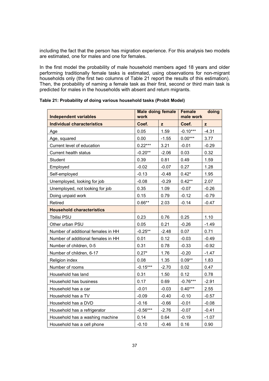including the fact that the person has migration experience. For this analysis two models are estimated, one for males and one for females.

In the first model the probability of male household members aged 18 years and older performing traditionally female tasks is estimated, using observations for non-migrant households only (the first two columns of Table 21 report the results of this estimation). Then, the probability of naming a female task as their first, second or third main task is predicted for males in the households with absent and return migrants.

| <b>Independent variables</b>       | <b>Male doing female</b> | <b>Female</b><br>doing<br>male work |            |         |
|------------------------------------|--------------------------|-------------------------------------|------------|---------|
| <b>Individual characteristics</b>  | Coef.                    | z                                   | Coef.      | z       |
| Age                                | 0.05                     | 1.59                                | $-0.10***$ | $-4.31$ |
| Age, squared                       | 0.00                     | $-1.55$                             | $0.00***$  | 3.77    |
| Current level of education         | $0.22***$                | 3.21                                | $-0.01$    | $-0.29$ |
| <b>Current health status</b>       | $-0.20**$                | $-2.06$                             | 0.03       | 0.32    |
| Student                            | 0.39                     | 0.81                                | 0.49       | 1.59    |
| Employed                           | $-0.02$                  | $-0.07$                             | 0.27       | 1.28    |
| Self-employed                      | $-0.13$                  | $-0.48$                             | $0.42*$    | 1.95    |
| Unemployed, looking for job        | $-0.08$                  | $-0.29$                             | $0.42**$   | 2.07    |
| Unemployed, not looking for job    | 0.35                     | 1.09                                | $-0.07$    | $-0.26$ |
| Doing unpaid work                  | 0.15                     | 0.79                                | $-0.12$    | $-0.79$ |
| Retired                            | $0.66**$                 | 2.03                                | $-0.14$    | $-0.47$ |
| <b>Household characteristics</b>   |                          |                                     |            |         |
| Tbilisi PSU                        | 0.23                     | 0.76                                | 0.25       | 1.10    |
| Other urban PSU                    | 0.05                     | 0.21                                | $-0.26$    | $-1.49$ |
| Number of additional females in HH | $-0.25**$                | $-2.48$                             | 0.07       | 0.71    |
| Number of additional females in HH | 0.01                     | 0.12                                | $-0.03$    | $-0.49$ |
| Number of children, 0-5            | 0.31                     | 0.78                                | $-0.33$    | $-0.92$ |
| Number of children, 6-17           | $0.27*$                  | 1.76                                | $-0.20$    | $-1.47$ |
| Religion index                     | 0.08                     | 1.35                                | $0.09**$   | 1.83    |
| Number of rooms                    | $-0.15***$               | $-2.70$                             | 0.02       | 0.47    |
| Household has land                 | 0.31                     | 1.50                                | 0.12       | 0.78    |
| Household has business             | 0.17                     | 0.69                                | $-0.76***$ | $-2.91$ |
| Household has a car                | $-0.01$                  | $-0.03$                             | $0.40***$  | 2.55    |
| Household has a TV                 | $-0.09$                  | $-0.40$                             | $-0.10$    | $-0.57$ |
| Household has a DVD                | $-0.16$                  | $-0.66$                             | $-0.01$    | $-0.08$ |
| Household has a refrigerator       | $-0.56***$               | $-2.76$                             | $-0.07$    | $-0.41$ |
| Household has a washing machine    | 0.14                     | 0.64                                | $-0.19$    | $-1.07$ |
| Household has a cell phone         | $-0.10$                  | $-0.46$                             | 0.16       | 0.90    |

Table 21: Probability of doing various household tasks (Probit Model)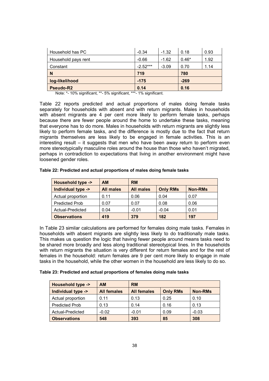| Household has PC    | $-0.34$    | $-1.32$ | 0.18    | 0.93 |
|---------------------|------------|---------|---------|------|
| Household pays rent | $-0.66$    | $-1.62$ | $0.46*$ | 1.92 |
| Constant            | $-2.52***$ | $-3.09$ | 0.70    | 1.14 |
| N                   | 719        |         | 780     |      |
|                     |            |         |         |      |
| log-likelihood      | $-175$     |         | $-269$  |      |

Note: \*- 10% significant, \*\*- 5% significant, \*\*\*- 1% significant.

Table 22 reports predicted and actual proportions of males doing female tasks separately for households with absent and with return migrants. Males in households with absent migrants are 4 per cent more likely to perform female tasks, perhaps because there are fewer people around the home to undertake these tasks, meaning that everyone has to do more. Males in households with return migrants are slightly less likely to perform female tasks, and the difference is mostly due to the fact that return migrants themselves are less likely to be engaged in female activities. This is an interesting result – it suggests that men who have been away return to perform even more stereotypically masculine roles around the house than those who haven't migrated, perhaps in contradiction to expectations that living in another environment might have loosened gender roles.

| <b>Household type -&gt;</b> | <b>AM</b>        | <b>RM</b>        |                 |                |  |
|-----------------------------|------------------|------------------|-----------------|----------------|--|
| Individual type ->          | <b>All males</b> | <b>All males</b> | <b>Only RMs</b> | <b>Non-RMs</b> |  |
| Actual proportion           | 0.11             | 0.06             | 0.04            | 0.07           |  |
| <b>Predicted Prob</b>       | 0.07             | 0.07             | 0.08            | 0.06           |  |
| Actual-Predicted            | 0.04             | $-0.01$          | $-0.04$         | 0.01           |  |
| <b>Observations</b>         | 419              | 379              | 182             | 197            |  |

Table 22: Predicted and actual proportions of males doing female tasks

In Table 23 similar calculations are performed for females doing male tasks. Females in households with absent migrants are slightly less likely to do traditionally male tasks. This makes us question the logic that having fewer people around means tasks need to be shared more broadly and less along traditional stereotypical lines. In the households with return migrants the situation is very different for return females and for the rest of females in the household: return females are 9 per cent more likely to engage in male tasks in the household, while the other women in the household are less likely to do so.

| Table 23: Predicted and actual proportions of females doing male tasks |  |  |  |
|------------------------------------------------------------------------|--|--|--|
|------------------------------------------------------------------------|--|--|--|

| <b>Household type -&gt;</b> | <b>AM</b>          | <b>RM</b>          |                 |                |  |  |
|-----------------------------|--------------------|--------------------|-----------------|----------------|--|--|
| Individual type ->          | <b>All females</b> | <b>All females</b> | <b>Only RMs</b> | <b>Non-RMs</b> |  |  |
| Actual proportion           | 0.11               | 0.13               | 0.25            | 0.10           |  |  |
| <b>Predicted Prob</b>       | 0.13               | 0.14               | 0.16            | 0.13           |  |  |
| Actual-Predicted            | $-0.02$            | $-0.01$            | 0.09            | $-0.03$        |  |  |
| <b>Observations</b>         | 548                | 393                | 85              | 308            |  |  |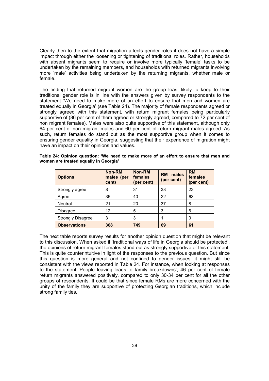Clearly then to the extent that migration affects gender roles it does not have a simple impact through either the loosening or tightening of traditional roles. Rather, households with absent migrants seem to require or involve more typically 'female' tasks to be undertaken by the remaining members, and households with returned migrants involving more 'male' activities being undertaken by the returning migrants, whether male or female.

The finding that returned migrant women are the group least likely to keep to their traditional gender role is in line with the answers given by survey respondents to the statement 'We need to make more of an effort to ensure that men and women are treated equally in Georgia' (see Table 24). The majority of female respondents agreed or strongly agreed with this statement, with return migrant females being particularly supportive of (86 per cent of them agreed or strongly agreed, compared to 72 per cent of non migrant females). Males were also quite supportive of this statement, although only 64 per cent of non migrant males and 60 per cent of return migrant males agreed. As such, return females do stand out as the most supportive group when it comes to ensuring gender equality in Georgia, suggesting that their experience of migration might have an impact on their opinions and values.

| <b>Options</b>           | <b>Non-RM</b><br>males (per<br>cent) | Non-RM<br>females<br>(per cent) | <b>RM</b><br>males<br>(per cent) | <b>RM</b><br>females<br>(per cent) |
|--------------------------|--------------------------------------|---------------------------------|----------------------------------|------------------------------------|
| Strongly agree           | 8                                    | 31                              | 38                               | 23                                 |
| Agree                    | 35                                   | 40                              | 22                               | 63                                 |
| <b>Neutral</b>           | 21                                   | 20                              | 37                               | 8                                  |
| <b>Disagree</b>          | 12                                   | 5                               | 3                                | 6                                  |
| <b>Strongly Disagree</b> | 3                                    | 3                               |                                  | 0                                  |
| <b>Observations</b>      | 368                                  | 749                             | 69                               | 61                                 |

Table 24: Opinion question: 'We need to make more of an effort to ensure that men and women are treated equally in Georgia'

The next table reports survey results for another opinion question that might be relevant to this discussion. When asked if 'traditional ways of life in Georgia should be protected', the opinions of return migrant females stand out as strongly supportive of this statement. This is quite counterintuitive in light of the responses to the previous question. But since this question is more general and not confined to gender issues, it might still be consistent with the views reported in Table 24. For instance, when looking at responses to the statement 'People leaving leads to family breakdowns', 46 per cent of female return migrants answered positively, compared to only 30-34 per cent for all the other groups of respondents. It could be that since female RMs are more concerned with the unity of the family they are supportive of protecting Georgian traditions, which include strong family ties.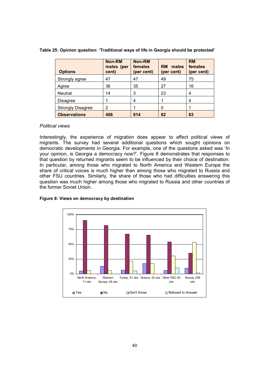| <b>Options</b>           | <b>Non-RM</b><br>males (per<br>cent) | Non-RM<br>females<br>(per cent) | males<br><b>RM</b><br>(per cent) | <b>RM</b><br>females<br>(per cent) |
|--------------------------|--------------------------------------|---------------------------------|----------------------------------|------------------------------------|
| Strongly agree           | 47                                   | 47                              | 49                               | 75                                 |
| Agree                    | 36                                   | 35                              | 27                               | 16                                 |
| Neutral                  | 14                                   | 3                               | 23                               | 4                                  |
| <b>Disagree</b>          |                                      |                                 |                                  | 4                                  |
| <b>Strongly Disagree</b> | $\overline{2}$                       |                                 | 0                                |                                    |
| <b>Observations</b>      | 406                                  | 814                             | 82                               | 63                                 |

Table 25: Opinion question: 'Traditional ways of life in Georgia should be protected'

## Political views

Interestingly, the experience of migration does appear to affect political views of migrants. The survey had several additional questions which sought opinions on democratic developments in Georgia. For example, one of the questions asked was 'In your opinion, is Georgia a democracy now?'. Figure 8 demonstrates that responses to that question by returned migrants seem to be influenced by their choice of destination. In particular, among those who migrated to North America and Western Europe the share of critical voices is much higher than among those who migrated to Russia and other FSU countries. Similarly, the share of those who had difficulties answering this question was much higher among those who migrated to Russia and other countries of the former Soviet Union.

## Figure 8: Views on democracy by destination

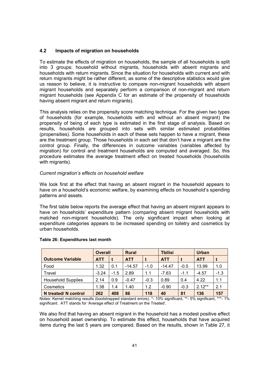## 4.2 Impacts of migration on households

To estimate the effects of migration on households, the sample of all households is split into 3 groups: household without migrants, households with absent migrants and households with return migrants. Since the situation for households with current and with return migrants might be rather different, as some of the descriptive statistics would give us reason to believe, it is instructive to compare non-migrant households with absent migrant households and separately perform a comparison of non-migrant and return migrant households (see Appendix C for an estimate of the propensity of households having absent migrant and return migrants).

This analysis relies on the propensity score matching technique. For the given two types of households (for example, households with and without an absent migrant) the propensity of being of each type is estimated in the first stage of analysis. Based on results, households are grouped into sets with similar estimated probabilities (propensities). Some households in each of these sets happen to have a migrant, these are the treatment group. Those households in each set that don't have a migrant are the control group. Finally, the differences in outcome variables (variables affected by migration) for control and treatment households are computed and averaged. So, this procedure estimates the average treatment effect on treated households (households with migrants).

## Current migration's effects on household welfare

We look first at the effect that having an absent migrant in the household appears to have on a household's economic welfare, by examining effects on household's spending patterns and assets.

The first table below reports the average effect that having an absent migrant appears to have on households' expenditure pattern (comparing absent migrant households with matched non-migrant households). The only significant impact when looking at expenditure categories appears to be increased spending on toiletry and cosmetics by urban households.

|                           | <b>Rural</b><br><b>Overall</b> |        | <b>Tbilisi</b> |        | <b>Urban</b> |        |            |        |
|---------------------------|--------------------------------|--------|----------------|--------|--------------|--------|------------|--------|
| <b>Outcome Variable</b>   | <b>ATT</b>                     |        | <b>ATT</b>     |        | <b>ATT</b>   |        | <b>ATT</b> | t      |
| Food                      | 1.32                           | 0.1    | $-14.57$       | $-1.0$ | $-14.47$     | $-0.5$ | 13.99      | 1.0    |
| Travel                    | $-3.24$                        | $-1.5$ | 2.89           | 1.1    | $-7.63$      | $-1.1$ | $-4.57$    | $-1.3$ |
| <b>Household Supplies</b> | 2.14                           | 0.9    | $-0.47$        | $-0.3$ | 0.89         | 0.4    | 4.22       | 1.1    |
| Cosmetics                 | 1.38                           | 1.4    | 1.40           | 1.2    | $-0.90$      | $-0.3$ | $2.12***$  | 2.1    |
| N treated/ N control      | 262                            | 408    | 86             | 118    | 40           | 81     | 136        | 157    |

## Table 26: Expenditures last month

Notes: Kernel matching results (bootstrapped standard errors). \*- 10% significant, \*\*- 5% significant, \*\*\*- 1% significant. ATT stands for 'Average effect of Treatment on the Treated'.

We also find that having an absent migrant in the household has a modest positive effect on household asset ownership. To estimate this effect, households that have acquired items during the last 5 years are compared. Based on the results, shown in Table 27, it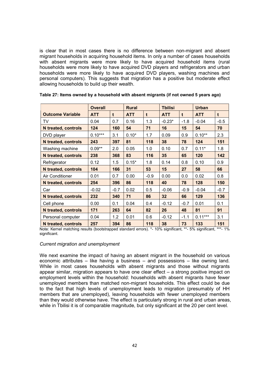is clear that in most cases there is no difference between non-migrant and absent migrant households in acquiring household items. In only a number of cases households with absent migrants were more likely to have acquired household items (rural households were more likely to have acquired DVD players and refrigerators and urban households were more likely to have acquired DVD players, washing machines and personal computers). This suggests that migration has a positive but moderate effect allowing households to build up their wealth.

|                            | <b>Overall</b> |              | <b>Rural</b> |        | <b>Tbilisi</b> |             | <b>Urban</b> |             |
|----------------------------|----------------|--------------|--------------|--------|----------------|-------------|--------------|-------------|
| <b>Outcome Variable</b>    | <b>ATT</b>     | $\mathbf{t}$ | <b>ATT</b>   | t      | <b>ATT</b>     | $\mathbf t$ | <b>ATT</b>   | $\mathbf t$ |
| TV                         | 0.04           | 0.7          | 0.16         | 1.3    | $-0.23*$       | $-1.8$      | $-0.04$      | $-0.5$      |
| <b>N</b> treated, controls | 124            | 160          | 54           | 71     | 16             | 15          | 54           | 70          |
| DVD player                 | $0.10***$      | 3.1          | $0.10*$      | 1.7    | 0.09           | 0.9         | $0.10**$     | 2.3         |
| <b>N</b> treated, controls | 243            | 397          | 81           | 118    | 38             | 78          | 124          | 151         |
| Washing machine            | $0.09**$       | 2.0          | 0.05         | 1.0    | 0.10           | 0.7         | $0.11*$      | 1.8         |
| <b>N</b> treated, controls | 238            | 368          | 83           | 116    | 35             | 65          | 120          | 142         |
| Refrigerator               | 0.12           | 1.5          | $0.15*$      | 1.8    | 0.14           | 0.8         | 0.10         | 0.9         |
| <b>N</b> treated, controls | 104            | 166          | 31           | 53     | 15             | 27          | 58           | 66          |
| Air Conditioner            | 0.01           | 0.7          | 0.00         | $-0.9$ | 0.00           | 0.0         | 0.02         | 0.8         |
| <b>N</b> treated, controls | 254            | 396          | 86           | 118    | 40             | 78          | 128          | 150         |
| Car                        | $-0.02$        | $-0.7$       | 0.02         | 0.5    | $-0.06$        | $-0.9$      | $-0.04$      | $-0.7$      |
| <b>N</b> treated, controls | 232            | 340          | 71           | 86     | 32             | 66          | 129          | 136         |
| Cell phone                 | 0.00           | 0.1          | 0.04         | 0.4    | $-0.12$        | $-0.7$      | 0.01         | 0.1         |
| N treated, controls        | 171            | 263          | 64           | 82     | 26             | 48          | 81           | 91          |
| Personal computer          | 0.04           | 1.2          | 0.01         | 0.6    | $-0.12$        | $-1.1$      | $0.11***$    | 3.1         |
| <b>N</b> treated, controls | 257            | 394          | 86           | 118    | 38             | 73          | 133          | 151         |

Note: Kernel matching results (bootstrapped standard errors). \*- 10% significant, \*\*- 5% significant, \*\*\*- 1% significant.

## Current migration and unemployment

We next examine the impact of having an absent migrant in the household on various economic attributes – like having a business – and possessions – like owning land. While in most cases households with absent migrants and those without migrants appear similar, migration appears to have one clear effect – a strong positive impact on employment levels within the household: households with absent migrants have fewer unemployed members than matched non-migrant households. This effect could be due to the fact that high levels of unemployment leads to migration (presumably of HH members that are unemployed), leaving households with fewer unemployed members than they would otherwise have. The effect is particularly strong in rural and urban areas, while in Tbilisi it is of comparable magnitude, but only significant at the 20 per cent level.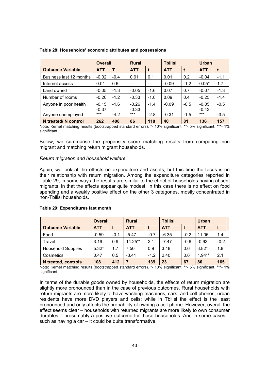|                           | <b>Overall</b> |          | <b>Rural</b> |                                               |               | <b>Tbilisi</b> |                | <b>Urban</b> |  |
|---------------------------|----------------|----------|--------------|-----------------------------------------------|---------------|----------------|----------------|--------------|--|
| <b>Outcome Variable</b>   | <b>ATT</b>     |          | <b>ATT</b>   |                                               | <b>ATT</b>    |                | <b>ATT</b>     | t            |  |
| Business last 12 months   | $-0.02$        | $-0.4$   | 0.01         | 0.1                                           | 0.01          | 0.2            | $-0.04$        | $-1.1$       |  |
| Internet access           | 0.01           | 0.6      | -            |                                               | $-0.09$       | $-1.2$         | $0.05*$        | 1.7          |  |
| Land owned                | $-0.05$        | $-1.3$   | $-0.05$      | $-1.6$                                        | 0.07          | 0.7            | $-0.07$        | $-1.3$       |  |
| Number of rooms           | $-0.20$        | $-1.2$   | $-0.33$      | $-1.0$                                        | 0.09          | 0.4            | $-0.25$        | $-1.4$       |  |
| Anyone in poor health     | $-0.15$        | $-1.6$   | $-0.26$      | $-1.4$                                        | $-0.09$       | $-0.5$         | $-0.05$        | $-0.5$       |  |
|                           | $-0.37$        |          | $-0.33$      |                                               |               |                | $-0.43$        |              |  |
| Anyone unemployed         | $***$          | $-4.2$   | $***$        | $-2.8$                                        | $-0.31$       | $-1.5$         | $***$          | $-3.5$       |  |
| N treated/ N control<br>. | 262            | 408<br>. | 86           | 118<br>$\mathbf{v}$ $\mathbf{v}$ $\mathbf{v}$ | 40<br>$\cdot$ | 81<br>$-\sim$  | 136<br>$\cdot$ | 157          |  |

#### Table 28: Households' economic attributes and possessions

Note: Kernel matching results (bootstrapped standard errors). \*- 10% significant, \*\*- 5% significant, \*\*\*- 1% significant.

Below, we summarise the propensity score matching results from comparing non migrant and matching return migrant households.

## Return migration and household welfare

Again, we look at the effects on expenditure and assets, but this time the focus is on their relationship with return migration. Among the expenditure categories reported in Table 29, in some ways the results are similar to the effect of households having absent migrants, in that the effects appear quite modest. In this case there is no effect on food spending and a weakly positive effect on the other 3 categories, mostly concentrated in non-Tbilisi households.

|                           | <b>Overall</b> |        | <b>Rural</b> |        | <b>Tbilisi</b> |        | <b>Urban</b> |        |
|---------------------------|----------------|--------|--------------|--------|----------------|--------|--------------|--------|
| <b>Outcome Variable</b>   | <b>ATT</b>     |        | <b>ATT</b>   |        | <b>ATT</b>     |        | <b>ATT</b>   |        |
| Food                      | $-0.59$        | $-0.1$ | $-5.47$      | $-0.7$ | $-6.35$        | $-0.2$ | 11.06        | 1.4    |
| Travel                    | 3.19           | 0.9    | $14.25**$    | 2.1    | $-7.47$        | $-0.6$ | $-0.93$      | $-0.2$ |
| <b>Household Supplies</b> | $5.32*$        | 1.7    | 7.50         | 0.9    | 3.48           | 0.6    | $3.82*$      | 1.8    |
| Cosmetics                 | 0.47           | 0.5    | $-3.41$      | $-1.2$ | 2.40           | 0.6    | $1.94**$     | 2.1    |
| N treated, controls       | 108            | 412    | 7            | 139    | 23             | 67     | 80           | 165    |

#### Table 29: Expenditures last month

Note: Kernel matching results (bootstrapped standard errors). \*- 10% significant, \*\*- 5% significant, \*\*\*- 1% significant

In terms of the durable goods owned by households, the effects of return migration are slightly more pronounced than in the case of previous outcomes. Rural households with return migrants are more likely to have washing machines, cars, and cell phones; urban residents have more DVD players and cells; while in Tbilisi the effect is the least pronounced and only affects the probability of owning a cell phone. However, overall the effect seems clear – households with returned migrants are more likely to own consumer durables – presumably a positive outcome for those households. And in some cases – such as having a car – it could be quite transformative.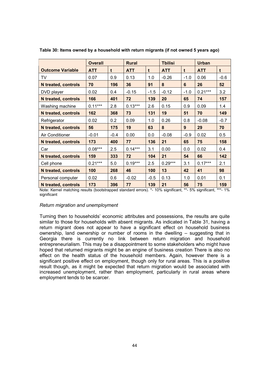|                            | <b>Overall</b> |        | <b>Rural</b> |        |            |        | <b>Urban</b> |        |
|----------------------------|----------------|--------|--------------|--------|------------|--------|--------------|--------|
| <b>Outcome Variable</b>    | <b>ATT</b>     | t      | <b>ATT</b>   | t      | <b>ATT</b> | t      | <b>ATT</b>   | t      |
| TV                         | 0.07           | 0.9    | 0.13         | 1.0    | $-0.26$    | $-1.0$ | 0.06         | $-0.6$ |
| <b>N</b> treated, controls | 70             | 196    | 36           | 91     | 8          | 6      | 26           | 52     |
| DVD player                 | 0.02           | 0.4    | $-0.15$      | $-1.5$ | $-0.12$    | $-1.0$ | $0.21***$    | 3.2    |
| N treated, controls        | 166            | 401    | 72           | 139    | 20         | 65     | 74           | 157    |
| Washing machine            | $0.11***$      | 2.8    | $0.13***$    | 2.6    | 0.15       | 0.9    | 0.09         | 1.4    |
| N treated, controls        | 162            | 368    | 73           | 131    | 19         | 51     | 70           | 149    |
| Refrigerator               | 0.02           | 0.2    | 0.09         | 1.0    | 0.26       | 0.8    | $-0.08$      | $-0.7$ |
| <b>N</b> treated, controls | 56             | 175    | 19           | 63     | 8          | 9      | 29           | 70     |
| Air Conditioner            | $-0.01$        | $-0.4$ | 0.00         | 0.0    | $-0.08$    | $-0.9$ | 0.02         | 0.5    |
| <b>N</b> treated, controls | 173            | 400    | 77           | 136    | 21         | 65     | 75           | 158    |
| Car                        | $0.08***$      | 2.5    | $0.14***$    | 3.1    | 0.00       | 0.0    | 0.02         | 0.4    |
| <b>N</b> treated, controls | 159            | 333    | 72           | 104    | 21         | 54     | 66           | 142    |
| Cell phone                 | $0.21***$      | 5.0    | $0.19***$    | 2.5    | $0.29***$  | 3.1    | $0.17***$    | 2.1    |
| <b>N</b> treated, controls | 100            | 268    | 46           | 100    | 13         | 42     | 41           | 98     |
| Personal computer          | 0.02           | 0.6    | $-0.02$      | $-0.5$ | 0.13       | 1.0    | 0.01         | 0.1    |
| <b>N</b> treated, controls | 173            | 396    | 77           | 139    | 21         | 56     | 75           | 159    |

Table 30: Items owned by a household with return migrants (if not owned 5 years ago)

Note: Kernel matching results (bootstrapped standard errors). \*- 10% significant, \*\*- 5% significant, \*\*\*- 1% significant

## Return migration and unemployment

Turning then to households' economic attributes and possessions, the results are quite similar to those for households with absent migrants. As indicated in Table 31, having a return migrant does not appear to have a significant effect on household business ownership, land ownership or number of rooms in the dwelling – suggesting that in Georgia there is currently no link between return migration and household entrepreneurialism. This may be a disappointment to some stakeholders who might have hoped that returned migrants might be an engine of business creation There is also no effect on the health status of the household members. Again, however there is a significant positive effect on employment, though only for rural areas. This is a positive result though, as it might be expected that return migration would be associated with increased unemployment, rather than employment, particularly in rural areas where employment tends to be scarcer.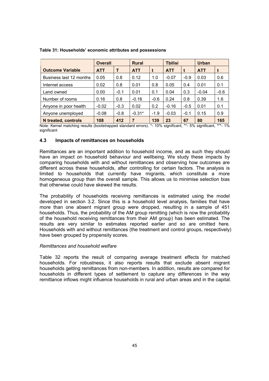|                         | <b>Overall</b> |        | <b>Rural</b> |        |            | <b>Tbilisi</b> |            |        |
|-------------------------|----------------|--------|--------------|--------|------------|----------------|------------|--------|
| <b>Outcome Variable</b> | <b>ATT</b>     | т      | <b>ATT</b>   | t      | <b>ATT</b> |                | <b>ATT</b> | t      |
| Business last 12 months | 0.05           | 0.8    | 0.12         | 1.0    | $-0.07$    | $-0.9$         | 0.03       | 0.6    |
| Internet access         | 0.02           | 0.8    | 0.01         | 0.8    | 0.05       | 0.4            | 0.01       | 0.1    |
| Land owned              | 0.00           | $-0.1$ | 0.01         | 0.1    | 0.04       | 0.3            | $-0.04$    | $-0.6$ |
| Number of rooms         | 0.16           | 0.8    | $-0.16$      | $-0.6$ | 0.24       | 0.8            | 0.39       | 1.6    |
| Anyone in poor health   | $-0.02$        | $-0.3$ | 0.02         | 0.2    | $-0.16$    | $-0.5$         | 0.01       | 0.1    |
| Anyone unemployed       | $-0.08$        | $-0.8$ | $-0.31*$     | $-1.9$ | $-0.03$    | $-0.1$         | 0.15       | 0.9    |
| N treated, controls     | 108            | 412    | 7            | 139    | 23         | 67             | 80         | 165    |

## Table 31: Households' economic attributes and possessions

Note: Kernel matching results (bootstrapped standard errors). \*- 10% significant, \*\*- 5% significant, \*\*\*- 1% significant

## 4.3 Impacts of remittances on households

Remittances are an important addition to household income, and as such they should have an impact on household behaviour and wellbeing. We study these impacts by comparing households with and without remittances and observing how outcomes are different across these households, after controlling for certain factors. The analysis is limited to households that currently have migrants, which constitute a more homogeneous group than the overall sample. This allows us to minimise selection bias that otherwise could have skewed the results.

The probability of households receiving remittances is estimated using the model developed in section 3.2. Since this is a household level analysis, families that have more than one absent migrant group were dropped, resulting in a sample of 451 households. Thus, the probability of the AM group remitting (which is now the probability of the household receiving remittances from their AM group) has been estimated. The results are very similar to estimates reported earlier and so are omitted here. Households with and without remittances (the treatment and control groups, respectively) have been grouped by propensity scores.

## Remittances and household welfare

Table 32 reports the result of comparing average treatment effects for matched households. For robustness, it also reports results that exclude absent migrant households getting remittances from non-members. In addition, results are compared for households in different types of settlement to capture any differences in the way remittance inflows might influence households in rural and urban areas and in the capital.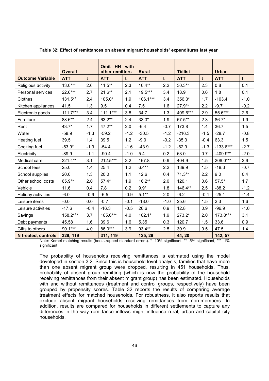|                            | <b>Overall</b> |        | Omit HH with<br>other remitters |        | <b>Rural</b> |        | <b>Tbilisi</b> |        | <b>Urban</b> |              |
|----------------------------|----------------|--------|---------------------------------|--------|--------------|--------|----------------|--------|--------------|--------------|
| <b>Outcome Variable</b>    | <b>ATT</b>     | t      | <b>ATT</b>                      | t      | <b>ATT</b>   | t      | <b>ATT</b>     | t      | <b>ATT</b>   | $\mathsf{t}$ |
| Religious activity         | $13.0***$      | 2.6    | $11.5***$                       | 2.3    | $16.4**$     | 2.2    | $30.3**$       | 2.3    | 0.8          | 0.1          |
| Personal services          | 22.6***        | 2.7    | $21.6***$                       | 2.1    | 19.5***      | 3.4    | 18.9           | 0.6    | 1.8          | 0.1          |
| Clothes                    | 131.5**        | 2.4    | 105.0*                          | 1.9    | $106.1***$   | 3.4    | 356.3*         | 1.7    | $-103.4$     | $-1.0$       |
| Kitchen appliances         | 41.5           | 1.3    | 9.5                             | 0.4    | 7.5          | 1.6    | $27.9**$       | 2.2    | $-9.7$       | $-0.2$       |
| Electronic goods           | $111.7***$     | 3.4    | $111.1***$                      | 3.8    | 34.7         | 1.3    | 409.6***       | 2.9    | 55.6***      | 2.6          |
| Furniture                  | 88.6**         | 2.4    | 63.2**                          | 2.4    | $33.3*$      | 1.9    | $57.5***$      | 2.3    | 86.7*        | 1.9          |
| Rent                       | 43.7*          | 1.7    | 47.2**                          | 2.0    | $-6.4$       | $-0.7$ | 173.8          | 1.4    | 36.7         | 1.5          |
| Water                      | $-58.9$        | $-1.3$ | $-59.2$                         | $-1.2$ | $-30.5$      | $-1.2$ | $-216.3$       | $-1.5$ | $-28.7$      | $-0.8$       |
| Heating fuel               | 39.5           | 1.4    | 39.5                            | 1.2    | $-9.0$       | $-0.2$ | $-35.3$        | $-0.4$ | 63.3         | 1.5          |
| Cooking fuel               | $-53.9*$       | $-1.9$ | $-54.4$                         | $-1.6$ | $-43.9$      | $-1.2$ | $-62.9$        | $-1.3$ | $-133.8***$  | $-2.7$       |
| Electricity                | $-89.9$        | $-1.1$ | $-90.4$                         | $-1.0$ | 5.4          | 0.2    | 63.0           | 0.7    | $-409.9**$   | $-2.0$       |
| Medical care               | 221.4**        | 3.1    | 212.5***                        | 3.2    | 167.8        | 0.9    | 404.9          | 1.5    | 206.0***     | 2.9          |
| School fees                | 25.0           | 1.4    | 25.4                            | 1.2    | $6.4**$      | 2.2    | 139.9          | 1.5    | $-18.3$      | $-0.7$       |
| School supplies            | 20.0           | 1.3    | 20.0                            | 1.1    | 12.6         | 0.4    | $71.3**$       | 2.2    | 9.0          | 0.4          |
| Other school costs         | 65.9**         | 2.0    | $57.4*$                         | 1.9    | $16.2**$     | 2.0    | 120.1          | 0.6    | $57.5*$      | 1.7          |
| Vehicle                    | 11.6           | 0.4    | 7.8                             | 0.2    | $9.9*$       | 1.8    | 146.4**        | 2.5    | $-88.2$      | $-1.2$       |
| Holiday activities         | $-6.0$         | $-0.9$ | $-6.5$                          | $-0.9$ | $5.1**$      | 2.0    | $-6.2$         | $-0.1$ | $-25.1$      | $-1.4$       |
| Leisure items              | $-0.0$         | 0.0    | $-0.7$                          | $-0.1$ | $-18.0$      | $-1.0$ | 25.6           | 1.5    | 2.3          | 1.6          |
| Leisure activities         | $-17.6$        | $-0.4$ | $-16.3$                         | $-0.5$ | 26.6         | 0.9    | 12.8           | 0.9    | $-96.9$      | $-1.0$       |
| Savings                    | 158.2***       | 3.7    | 165.6***                        | 4.0    | $102.1*$     | 1.9    | 273.2*         | 2.0    | 173.8***     | 3.1          |
| Debt payments              | 45.58          | 1.6    | 39.6                            | 1.6    | 5.35         | 0.3    | 120.7          | 1.5    | 33.6         | 0.9          |
| Gifts to others            | 90.1***        | 4.0    | 86.0***                         | 3.9    | 93.4**       | 2.5    | 39.9           | 0.5    | 47.5         | 1.4          |
| <b>N</b> treated, controls | 329, 119       |        | 311, 119                        |        | 125, 29      |        | 44, 20         |        | 142, 57      |              |

Table 32: Effect of remittances on absent migrant households' expenditures last year

Note: Kernel matching results (bootstrapped standard errors). \*- 10% significant, \*\*- 5% significant, \*\*\*- 1% significant

The probability of households receiving remittances is estimated using the model developed in section 3.2. Since this is household level analysis, families that have more than one absent migrant group were dropped, resulting in 451 households. Thus, probability of absent group remitting (which is now the probability of the household receiving remittances from their absent migrant group) has been estimated. Households with and without remittances (treatment and control groups, respectively) have been grouped by propensity scores. Table 32 reports the results of comparing average treatment effects for matched households. For robustness, it also reports results that exclude absent migrant households receiving remittances from non-members. In addition, results are compared for households in different settlements to capture any differences in the way remittance inflows might influence rural, urban and capital city households.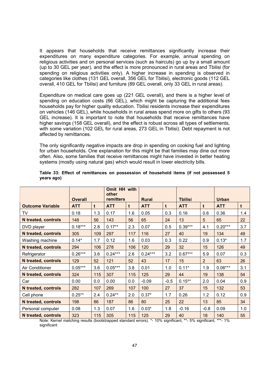It appears that households that receive remittances significantly increase their expenditures on many expenditure categories. For example, annual spending on religious activities and on personal services (such as haircuts) go up by a small amount (up to 30 GEL per year), and the effect is more pronounced in rural areas and Tbilisi (for spending on religious activities only). A higher increase in spending is observed in categories like clothes (131 GEL overall, 356 GEL for Tbilisi), electronic goods (112 GEL overall, 410 GEL for Tbilisi) and furniture (89 GEL overall, only 33 GEL in rural areas).

Expenditure on medical care goes up (221 GEL overall), and there is a higher level of spending on education costs (66 GEL), which might be capturing the additional fees households pay for higher quality education. Tbilisi residents increase their expenditures on vehicles (146 GEL), while households in rural areas spend more on gifts to others (93 GEL increase). It is important to note that households that receive remittances have higher savings (158 GEL overall), and the effect is robust across all types of settlements, with some variation (102 GEL for rural areas, 273 GEL in Tbilisi). Debt repayment is not affected by remittances.

The only significantly negative impacts are drop in spending on cooking fuel and lighting for urban households. One explanation for this might be that families may dine out more often. Also, some families that receive remittances might have invested in better heating systems (mostly using natural gas) which would result in lower electricity bills.

|                            | <b>Overall</b> |     | Omit HH with<br>other<br>remitters |     | <b>Rural</b> |        | <b>Tbilisi</b> |                | <b>Urban</b> |             |
|----------------------------|----------------|-----|------------------------------------|-----|--------------|--------|----------------|----------------|--------------|-------------|
| <b>Outcome Variable</b>    | <b>ATT</b>     | t   | <b>ATT</b>                         | t   | <b>ATT</b>   | t      | <b>ATT</b>     | t              | <b>ATT</b>   | $\mathbf t$ |
| TV                         | 0.18           | 1.3 | 0.17                               | 1.6 | 0.05         | 0.3    | 0.16           | 0.6            | 0.36         | 1.4         |
| <b>N</b> treated, controls | 148            | 56  | 143                                | 56  | 65           | 24     | 13             | 5              | 65           | 22          |
| DVD player                 | $0.18***$      | 2.8 | $0.17**$                           | 2.3 | 0.07         | 0.5    | $0.39***$      | 4.1            | $0.20***$    | 3.7         |
| N treated, controls        | 305            | 109 | 297                                | 117 | 116          | 27     | 40             | 19             | 134          | 49          |
| Washing machine            | $0.14*$        | 1.7 | 0.12                               | 1.6 | 0.03         | 0.3    | 0.22           | 0.9            | $0.13*$      | 1.7         |
| <b>N</b> treated, controls | 294            | 106 | 278                                | 106 | 120          | 29     | 32             | 15             | 126          | 49          |
| Refrigerator               | $0.26***$      | 3.6 | $0.24***$                          | 2.6 | $0.24***$    | 3.2    | $0.67***$      | 5.9            | 0.07         | 0.3         |
| <b>N</b> treated, controls | 129            | 52  | 121                                | 52  | 43           | 17     | 15             | $\overline{2}$ | 63           | 26          |
| Air Conditioner            | $0.05***$      | 3.6 | $0.05***$                          | 3.8 | 0.01         | 1.0    | $0.11*$        | 1.9            | $0.06***$    | 3.1         |
| <b>N</b> treated, controls | 324            | 115 | 307                                | 115 | 125          | 29     | 44             | 19             | 138          | 54          |
| Car                        | 0.00           | 0.0 | 0.00                               | 0.0 | $-0.09$      | $-0.5$ | $0.15***$      | 2.0            | 0.04         | 0.9         |
| N treated, controls        | 282            | 107 | 269                                | 107 | 100          | 27     | 37             | 15             | 132          | 53          |
| Cell phone                 | $0.25***$      | 2.4 | $0.24**$                           | 2.0 | $0.37*$      | 1.7    | 0.26           | 1.2            | 0.12         | 0.9         |
| <b>N</b> treated, controls | 198            | 86  | 187                                | 86  | 80           | 25     | 22             | 13             | 85           | 34          |
| Personal computer          | 0.08           | 1.3 | 0.07                               | 1.6 | $0.03*$      | 1.8    | $-0.16$        | $-0.8$         | 0.09         | 1.0         |
| <b>N</b> treated, controls | 323            | 115 | 305                                | 115 | 125          | 29     | 40             | 18             | 140          | 55          |

## Table 33: Effect of remittances on possession of household items (if not possessed 5 years ago)

Note: Kernel matching results (bootstrapped standard errors). \*- 10% significant, \*\*- 5% significant, \*\*\*- 1% significant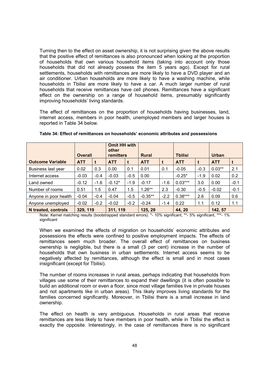Turning then to the effect on asset ownership, it is not surprising given the above results that the positive effect of remittances is also pronounced when looking at the proportion of households that own various household items (taking into account only those households that did not already possess the item 5 years ago). Except for rural settlements, households with remittances are more likely to have a DVD player and an air conditioner. Urban households are more likely to have a washing machine, while households in Tbilisi are more likely to have a car. A much larger number of rural households that receive remittances have cell phones. Remittances have a significant effect on the ownership on a range of household items, presumably significantly improving households' living standards.

The effect of remittances on the proportion of households having businesses, land, internet access, members in poor health, unemployed members and larger houses is reported in Table 34 below.

|                         |                |        | <b>Omit HH with</b><br>other |                  |            |              |            |                |            |              |  |
|-------------------------|----------------|--------|------------------------------|------------------|------------|--------------|------------|----------------|------------|--------------|--|
|                         | <b>Overall</b> |        |                              | <b>remitters</b> |            | <b>Rural</b> |            | <b>Tbilisi</b> |            | <b>Urban</b> |  |
| <b>Outcome Variable</b> | <b>ATT</b>     |        | <b>ATT</b>                   |                  | <b>ATT</b> |              | <b>ATT</b> |                | <b>ATT</b> |              |  |
| Business last year      | 0.02           | 0.3    | 0.00                         | 0.1              | 0.01       | 0.1          | $-0.05$    | $-0.3$         | $0.03**$   | 2.1          |  |
| Internet access         | $-0.03$        | $-0.4$ | $-0.03$                      | $-0.5$           | 0.00       |              | $-0.25*$   | $-1.9$         | 0.02       | 0.2          |  |
| Land owned              | $-0.12$        | $-1.6$ | $-0.12*$                     | $-1.9$           | $-0.17$    | $-1.6$       | $0.03***$  | 3.0            | 0.00       | $-0.1$       |  |
| Number of rooms         | 0.51           | 1.5    | 0.47                         | 1.5              | $1.26**$   | 2.3          | $-0.30$    | $-0.5$         | $-0.02$    | $-0.1$       |  |
| Anyone in poor health   | $-0.04$        | $-0.4$ | $-0.04$                      | $-0.5$           | $-0.35**$  | $-2.2$       | $0.38***$  | 2.6            | 0.09       | 0.6          |  |
| Anyone unemployed       | $-0.02$        | $-0.2$ | $-0.02$                      | $-0.2$           | $-0.24$    | $-1.4$       | 0.22       | 1.1            | 0.12       | 1.1          |  |
| N treated, controls     | 329, 119       |        | 311, 119                     |                  | 125, 29    |              | 44, 20     |                | 142, 57    |              |  |

Note: Kernel matching results (bootstrapped standard errors). \*- 10% significant, \*\*- 5% significant, \*\*\*- 1% significant

When we examined the effects of migration on households' economic attributes and possessions the effects were confined to positive employment impacts. The effects of remittances seem much broader. The overall effect of remittances on business ownership is negligible, but there is a small (3 per cent) increase in the number of households that own business in urban settlements. Internet access seems to be negatively affected by remittances, although the effect is small and in most cases insignificant (except for Tbilisi).

The number of rooms increases in rural areas, perhaps indicating that households from villages use some of their remittances to expand their dwellings (it is often possible to build an additional room or even a floor, since most village families live in private houses and not apartments like in urban areas). This likely improves living standards for the families concerned significantly. Moreover, in Tbilisi there is a small increase in land ownership.

The effect on health is very ambiguous. Households in rural areas that receive remittances are less likely to have members in poor health, while in Tbilisi the effect is exactly the opposite. Interestingly, in the case of remittances there is no significant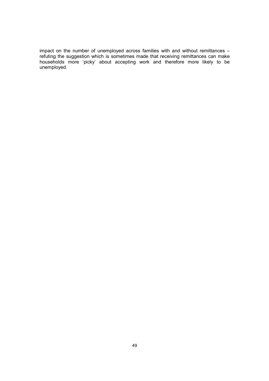impact on the number of unemployed across families with and without remittances – refuting the suggestion which is sometimes made that receiving remittances can make households more 'picky' about accepting work and therefore more likely to be unemployed.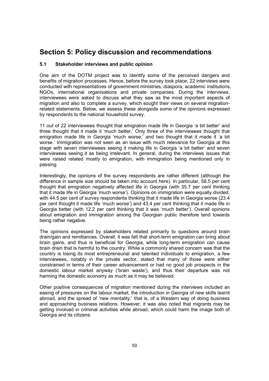## Section 5: Policy discussion and recommendations

## 5.1 Stakeholder interviews and public opinion

One aim of the DOTM project was to identify some of the perceived dangers and benefits of migration processes. Hence, before the survey took place, 22 interviews were conducted with representatives of government ministries, diaspora, academic institutions, NGOs, international organisations and private companies. During the interviews, interviewees were asked to discuss what they saw as the most important aspects of migration and also to complete a survey, which sought their views on several migrationrelated statements. Below, we assess these alongside some of the opinions expressed by respondents to the national household survey.

11 out of 22 interviewees thought that emigration made life in Georgia 'a bit better' and three thought that it made it 'much better.' Only three of the interviewees thought that emigration made life in Georgia 'much worse,' and two thought that it made it 'a bit worse.' Immigration was not seen as an issue with much relevance for Georgia at this stage with seven interviewees seeing it making life in Georgia 'a bit better' and seven interviewees seeing it as being irrelevant. In general, during the interviews issues that were raised related mostly to emigration, with immigration being mentioned only in passing.

Interestingly, the opinions of the survey respondents are rather different (although the difference in sample size should be taken into account here). In particular, 58.5 per cent thought that emigration negatively affected life in Georgia (with 35.7 per cent thinking that it made life in Georgia 'much worse'). Opinions on immigration were equally divided, with 44.5 per cent of survey respondents thinking that it made life in Georgia worse (23.4 per cent thought it made life 'much worse') and 43.4 per cent thinking that it made life in Georgia better (with 12.2 per cent thinking that it was 'much better'). Overall opinions about emigration and immigration among the Georgian public therefore tend towards being rather negative.

The opinions expressed by stakeholders related primarily to questions around brain drain/gain and remittances. Overall, it was felt that short-term emigration can bring about brain gains, and thus is beneficial for Georgia, while long-term emigration can cause brain drain that is harmful to the country. While a commonly shared concern was that the country is losing its most entrepreneurial and talented individuals to emigration, a few interviewees, notably in the private sector, stated that many of those were either constrained in terms of their career advancement or had no good job prospects in the domestic labour market anyway ('brain waste'), and thus their departure was not harming the domestic economy as much as it may be believed.

Other positive consequences of migration mentioned during the interviews included an easing of pressures on the labour market, the introduction in Georgia of new skills learnt abroad, and the spread of 'new mentality,' that is, of a Western way of doing business and approaching business relations. However, it was also noted that migrants may be getting involved in criminal activities while abroad, which could harm the image both of Georgia and its citizens.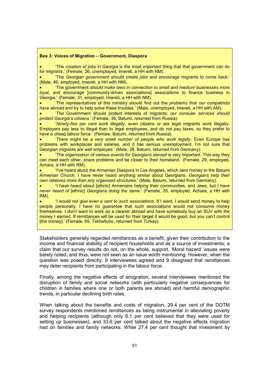#### Box 3: Voices of Migration – Government, Diaspora

• 'The creation of jobs in Georgia is the most important thing that that government can do for migrants.' (Female, 26, unemployed, Imereti, a HH with NM).

• 'The Georgian government should create jobs and encourage migrants to come back.' (Male, 46, employed, Imereti, a HH with NM).

• 'The government should make laws in connection to small and medium businesses more loyal, and encourage [community-driven associations] associations to finance business in Georgia.' (Female, 31, employed, Imereti, a HH with NM).

• 'The representatives of this ministry should find out the problems that our compatriots have abroad and try to help solve these troubles.' (Male, unemployed, Imereti, a HH with AM).

• 'The Government should protect interests of migrants; our consular services should protect Georgia's citizens.' (Female, 36, Batumi, returned from Russia).

• 'Ninety-five per cent work illegally, even citizens or are legal migrants work illegally. Employers pay less to illegal than to legal employees, and do not pay taxes, so they prefer to have a cheap labour force.<sup>7</sup> (Female, Batumi, returned from Russia).

'There might be a very small number of people who work legally. Even Europe has problems with workplaces and salaries, and it has serious unemployment. I'm not sure that Georgian migrants are well employed.' (Male, 28, Batumi, returned from Germany).

• The *organisation of various events for Georgians abroad* is very important. This way they can meet each other, share problems and be closer to their homeland.' (Female, 29, employed, Achara, a HH with RM).

• 'I've heard about the Armenian Diaspora in Los Angeles, which sent money to the Batumi Armenian Church. I have never heard anything similar about Georgians. Georgians help their own relatives more than any organised structures.' (Male, Batumi, returned from Germany).

• 'I have heard about [ethnic] Armenians helping their communities, and Jews, but I have never heard of [ethnic] Georgians doing the same.' (Female, 35, employed, Achara, a HH with RM).

• 'I would not give even a cent to such associations. If I want, I would send money to help people personally. I have no guarantee that such associations would not consume money themselves. I don't want to work as a cleaner abroad and have somebody buy an SUV with the money I earned. If remittances will be used for their target it would be good, but you can't control [the money].' (Female, 65, Tskhaltubo, returned from Turkey).

Stakeholders generally regarded remittances as a benefit, given their contribution to the income and financial stability of recipient households and as a source of investments; a claim that our survey results do not, on the whole, support. 'Moral hazard' issues were barely noted, and thus, were not seen as an issue worth mentioning. However, when the question was posed directly, 9 interviewees agreed and 9 disagreed that remittances may deter recipients from participating in the labour force.

Finally, among the negative effects of emigration, several interviewees mentioned the disruption of family and social networks (with particularly negative consequences for children in families where one or both parents are abroad) and harmful demographic trends, in particular declining birth rates.

When talking about the benefits and costs of migration, 29.4 per cent of the DOTM survey respondents mentioned remittances as being instrumental in alleviating poverty and helping recipients (although only 6.1 per cent believed that they were used for setting up businesses); and 33.6 per cent talked about the negative effects migration had on families and family networks. While 27.4 per cent thought that investment by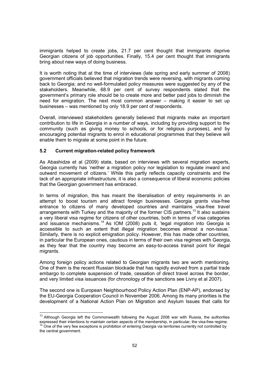immigrants helped to create jobs, 21.7 per cent thought that immigrants deprive Georgian citizens of job opportunities. Finally, 15.4 per cent thought that immigrants bring about new ways of doing business.

It is worth noting that at the time of interviews (late spring and early summer of 2008) government officials believed that migration trends were reversing, with migrants coming back to Georgia; and no well-formulated policy measures were suggested by any of the stakeholders. Meanwhile, 68.9 per cent of survey respondents stated that the government's primary role should be to create more and better paid jobs to diminish the need for emigration. The next most common answer – making it easier to set up businesses – was mentioned by only 18.9 per cent of respondents.

Overall, interviewed stakeholders generally believed that migrants make an important contribution to life in Georgia in a number of ways, including by providing support to the community (such as giving money to schools, or for religious purposes), and by encouraging potential migrants to enrol in educational programmes that they believe will enable them to migrate at some point in the future.

## 5.2 Current migration-related policy framework

As Abashidze et al (2009) state, based on interviews with several migration experts, Georgia currently has 'neither a migration policy nor legislation to regulate inward and outward movement of citizens.' While this partly reflects capacity constraints and the lack of an appropriate infrastructure, it is also a consequence of liberal economic policies that the Georgian government has embraced.

In terms of migration, this has meant the liberalisation of entry requirements in an attempt to boost tourism and attract foreign businesses. Georgia grants visa-free entrance to citizens of many developed countries and maintains visa-free travel arrangements with Turkey and the majority of the former CIS partners.<sup>13</sup> It also sustains a very liberal visa regime for citizens of other countries, both in terms of visa categories and issuance mechanisms.<sup>14</sup> As IOM (2008) puts it, 'legal migration into Georgia is accessible to such an extent that illegal migration becomes almost a non-issue.' Similarly, there is no explicit emigration policy. However, this has made other countries, in particular the European ones, cautious in terms of their own visa regimes with Georgia, as they fear that the country may become an easy-to-access transit point for illegal migrants.

Among foreign policy actions related to Georgian migrants two are worth mentioning. One of them is the recent Russian blockade that has rapidly evolved from a partial trade embargo to complete suspension of trade, cessation of direct travel across the border, and very limited visa issuances (for chronology of the sanctions see Livny et al 2007).

The second one is European Neighbourhood Policy Action Plan (ENP-AP), endorsed by the EU-Georgia Cooperation Council in November 2006. Among its many priorities is the development of a National Action Plan on Migration and Asylum Issues that calls for

 $\overline{\phantom{a}}$  $13$  Although Georgia left the Commonwealth following the August 2008 war with Russia, the authorities expressed their intentions to maintain certain aspects of the membership, in particular, the visa-free regime.  $14$  One of the very few exceptions is prohibition of entering Georgia via territories currently not controlled by the central government.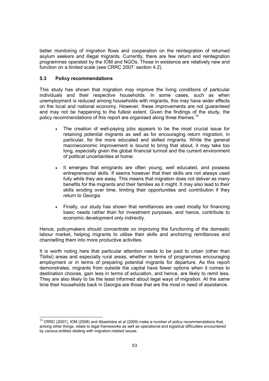better monitoring of migration flows and cooperation on the reintegration of returned asylum seekers and illegal migrants. Currently, there are few return and reintegration programmes operated by the IOM and NGOs. Those in existence are relatively new and function on a limited scale (see CRRC 2007: section 4.2).

## 5.3 Policy recommendations

This study has shown that migration may improve the living conditions of particular individuals and their respective households. In some cases, such as when unemployment is reduced among households with migrants, this may have wider effects on the local and national economy. However, these improvements are not guaranteed and may not be happening to the fullest extent. Given the findings of the study, the policy recommendations of this report are organised along three themes.<sup>15</sup>

- The creation of well-paying jobs appears to be the most crucial issue for retaining potential migrants as well as for encouraging return migration, in particular, for the more educated and skilled migrants. While the general macroeconomic improvement is bound to bring that about, it may take too long, especially given the global financial turmoil and the current environment of political uncertainties at home.
- It emerges that emigrants are often young, well educated, and possess entrepreneurial skills. If seems however that their skills are not always used fully while they are away. This means that migration does not deliver as many benefits for the migrants and their families as it might. It may also lead to their skills eroding over time, limiting their opportunities and contribution if they return to Georgia.
- Finally, our study has shown that remittances are used mostly for financing basic needs rather than for investment purposes, and hence, contribute to economic development only indirectly.

Hence, policymakers should concentrate on improving the functioning of the domestic labour market, helping migrants to utilise their skills and anchoring remittances and channelling them into more productive activities.

It is worth noting here that particular attention needs to be paid to urban (other than Tbilisi) areas and especially rural areas, whether in terms of programmes encouraging employment or in terms of preparing potential migrants for departure. As this report demonstrates, migrants from outside the capital have fewer options when it comes to destination choices, gain less in terms of education, and hence, are likely to remit less. They are also likely to be the least informed about legal ways of migration. At the same time their households back in Georgia are those that are the most in need of assistance.

 $\overline{\phantom{a}}$  $15$  CRRC (2007), IOM (2008) and Abashidze et al (2009) make a number of policy recommendations that, among other things, relate to legal frameworks as well as operational and logistical difficulties encountered by various entities dealing with migration-related issues.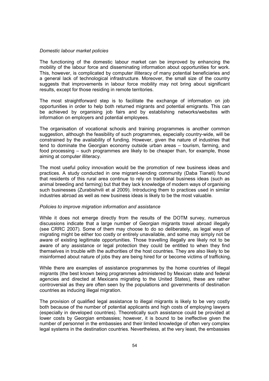## Domestic labour market policies

The functioning of the domestic labour market can be improved by enhancing the mobility of the labour force and disseminating information about opportunities for work. This, however, is complicated by computer illiteracy of many potential beneficiaries and a general lack of technological infrastructure. Moreover, the small size of the country suggests that improvements in labour force mobility may not bring about significant results, except for those residing in remote territories.

The most straightforward step is to facilitate the exchange of information on job opportunities in order to help both returned migrants and potential emigrants. This can be achieved by organising job fairs and by establishing networks/websites with information on employers and potential employees.

The organisation of vocational schools and training programmes is another common suggestion, although the feasibility of such programmes, especially country-wide, will be constrained by the availability of funding. However, given the nature of industries that tend to dominate the Georgian economy outside urban areas – tourism, farming, and food processing – such programmes are likely to be cheaper than, for example, those aiming at computer illiteracy.

The most useful policy innovation would be the promotion of new business ideas and practices. A study conducted in one migrant-sending community (Daba Tianeti) found that residents of this rural area continue to rely on traditional business ideas (such as animal breeding and farming) but that they lack knowledge of modern ways of organising such businesses (Zurabishvili et al 2009). Introducing them to practices used in similar industries abroad as well as new business ideas is likely to be the most valuable.

## Policies to improve migration information and assistance

While it does not emerge directly from the results of the DOTM survey, numerous discussions indicate that a large number of Georgian migrants travel abroad illegally (see CRRC 2007). Some of them may choose to do so deliberately, as legal ways of migrating might be either too costly or entirely unavailable, and some may simply not be aware of existing legitimate opportunities. Those travelling illegally are likely not to be aware of any assistance or legal protection they could be entitled to when they find themselves in trouble with the authorities of the host countries. They are also likely to be misinformed about nature of jobs they are being hired for or become victims of trafficking.

While there are examples of assistance programmes by the home countries of illegal migrants (the best known being programmes administered by Mexican state and federal agencies and directed at Mexicans migrating to the United States), these are rather controversial as they are often seen by the populations and governments of destination countries as inducing illegal migration.

The provision of qualified legal assistance to illegal migrants is likely to be very costly both because of the number of potential applicants and high costs of employing lawyers (especially in developed countries). Theoretically such assistance could be provided at lower costs by Georgian embassies; however, it is bound to be ineffective given the number of personnel in the embassies and their limited knowledge of often very complex legal systems in the destination countries. Nevertheless, at the very least, the embassies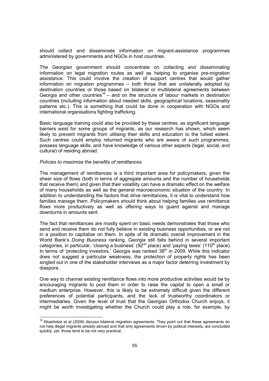should collect and disseminate information on migrant-assistance programmes administered by governments and NGOs in host countries.

The Georgian government should concentrate on collecting and disseminating information on legal migration routes as well as helping to organise pre-migration assistance. This could involve the creation of support centres that would gather information on migration programmes – both those that are unilaterally adopted by destination countries or those based on bilateral or multilateral agreements between Georgia and other countries<sup>16</sup> – and on the structure of labour markets in destination countries (including information about needed skills, geographical locations, seasonality patterns etc.). This is something that could be done in cooperation with NGOs and international organisations fighting trafficking.

Basic language training could also be provided by these centres, as significant language barriers exist for some groups of migrants, as our research has shown, which seem likely to prevent migrants from utilising their skills and education to the fullest extent. Such centres could employ returned migrants who are aware of such programmes, possess language skills, and have knowledge of various other aspects (legal, social, and cultural) of residing abroad.

## Policies to maximise the benefits of remittances

 $\overline{\phantom{a}}$ 

The management of remittances is a third important area for policymakers, given the sheer size of flows (both in terms of aggregate amounts and the number of households that receive them) and given that their volatility can have a dramatic effect on the welfare of many households as well as the general macroeconomic situation of the country. In addition to understanding the factors that drive remittances, it is vital to understand how families manage them. Policymakers should think about helping families use remittance flows more productively as well as offering ways to guard against and manage downturns in amounts sent.

The fact that remittances are mostly spent on basic needs demonstrates that those who send and receive them do not fully believe in existing business opportunities, or are not in a position to capitalize on them. In spite of its dramatic overall improvement in the World Bank's Doing Business ranking, Georgia still falls behind in several important categories, in particular, 'closing a business' ( $92<sup>nd</sup>$  place) and 'paying taxes' (110<sup>th</sup> place). In terms of 'protecting investors,' Georgia was ranked  $38<sup>th</sup>$  in 2009. While this indicator does not suggest a particular weakness, the protection of property rights has been singled out in one of the stakeholder interviews as a major factor deterring investment by diaspora.

One way to channel existing remittance flows into more productive activities would be by encouraging migrants to pool them in order to raise the capital to open a small or medium enterprise. However, this is likely to be extremely difficult given the different preferences of potential participants, and the lack of trustworthy coordinators or intermediaries. Given the level of trust that the Georgian Orthodox Church enjoys, it might be worth investigating whether the Church could play a role, for example, by

 $16$  Abashidze et al (2009) discuss bilateral migration agreements. They point out that these agreements do not help illegal migrants already abroad and that only agreements driven by political interests, are concluded quickly; yet, those tend to be not very practical.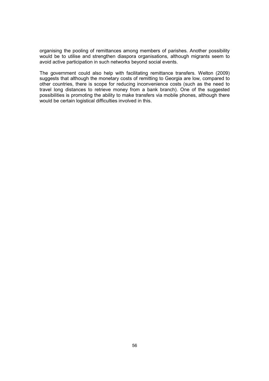organising the pooling of remittances among members of parishes. Another possibility would be to utilise and strengthen diaspora organisations, although migrants seem to avoid active participation in such networks beyond social events.

The government could also help with facilitating remittance transfers. Welton (2009) suggests that although the monetary costs of remitting to Georgia are low, compared to other countries, there is scope for reducing inconvenience costs (such as the need to travel long distances to retrieve money from a bank branch). One of the suggested possibilities is promoting the ability to make transfers via mobile phones, although there would be certain logistical difficulties involved in this.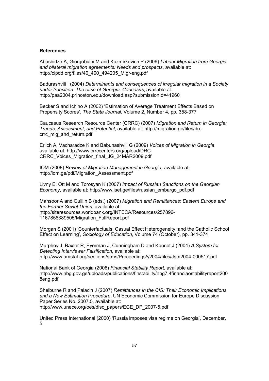#### References

Abashidze A, Giorgobiani M and Kazmirkevich P (2009) Labour Migration from Georgia and bilateral migration agreements: Needs and prospects, available at: http://cipdd.org/files/40\_400\_494205\_Migr-eng.pdf

Badurashvili I (2004) Determinants and consequences of irregular migration in a Society under transition. The case of Georgia, Caucasus, available at: http://paa2004.princeton.edu/download.asp?submissionId=41960

Becker S and Ichino A (2002) 'Estimation of Average Treatment Effects Based on Propensity Scores', The Stata Journal, Volume 2, Number 4, pp. 358-377

Caucasus Research Resource Center (CRRC) (2007) Migration and Return in Georgia: Trends, Assessment, and Potential, available at: http://migration.ge/files/drccrrc\_mig\_and\_return.pdf

Erlich A, Vacharadze K and Babunashvili G (2009) Voices of Migration in Georgia, available at: http://www.crrccenters.org/upload/DRC-CRRC\_Voices\_Migration\_final\_JG\_24MAR2009.pdf

IOM (2008) Review of Migration Management in Georgia, available at: http://iom.ge/pdf/Migration\_Assessment.pdf

Livny E, Ott M and Torosyan K (2007) Impact of Russian Sanctions on the Georgian Economy, available at: http://www.iset.ge/files/russian\_embargo\_pdf.pdf

Mansoor A and Quillin B (eds.) (2007) Migration and Remittances: Eastern Europe and the Former Soviet Union, available at: http://siteresources.worldbank.org/INTECA/Resources/257896- 1167856389505/Migration\_FullReport.pdf

Morgan S (2001) 'Counterfactuals, Casual Effect Heterogeneity, and the Catholic School Effect on Learning', Sociology of Education, Volume 74 (October), pp. 341-374

Murphey J, Baxter R, Eyerman J, Cunningham D and Kennet J (2004) A System for Detecting Interviewer Falsification, available at: http://www.amstat.org/sections/srms/Proceedings/y2004/files/Jsm2004-000517.pdf

National Bank of Georgia (2008) Financial Stability Report, available at: http://www.nbg.gov.ge/uploads/publications/finstability/nbg7.4financiaostabilityreport200 8eng.pdf

Shelburne R and Palacin J (2007) Remittances in the CIS: Their Economic Implications and a New Estimation Procedure, UN Economic Commission for Europe Discussion Paper Series No. 2007.5, available at: http://www.unece.org/oes/disc\_papers/ECE\_DP\_2007-5.pdf

United Press International (2000) 'Russia imposes visa regime on Georgia', December, 5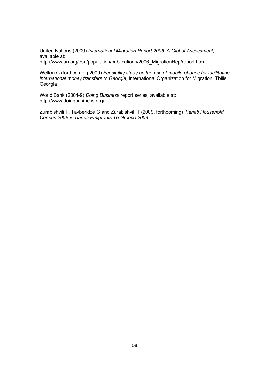United Nations (2009) International Migration Report 2006: A Global Assessment, available at: http://www.un.org/esa/population/publications/2006\_MigrationRep/report.htm

Welton G (forthcoming 2009) Feasibility study on the use of mobile phones for facilitating international money transfers to Georgia, International Organization for Migration, Tbilisi, Georgia

World Bank (2004-9) Doing Business report series, available at: http://www.doingbusiness.org/

Zurabishvili T, Tavberidze G and Zurabishvili T (2009, forthcoming) Tianeti Household Census 2008 & Tianeti Emigrants To Greece 2008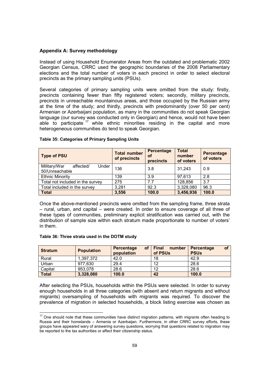## Appendix A: Survey methodology

Instead of using Household Enumerator Areas from the outdated and problematic 2002 Georgian Census, CRRC used the geographic boundaries of the 2008 Parliamentary elections and the total number of voters in each precinct in order to select electoral precincts as the primary sampling units (PSUs).

Several categories of primary sampling units were omitted from the study: firstly, precincts containing fewer than fifty registered voters; secondly, military precincts, precincts in unreachable mountainous areas, and those occupied by the Russian army at the time of the study; and thirdly, precincts with predominantly (over 50 per cent) Armenian or Azerbaijani population, as many in the communities do not speak Georgian language (our survey was conducted only in Georgian) and hence, would not have been able to participate  $17$  while ethnic minorities residing in the capital and more heterogeneous communities do tend to speak Georgian.

| <b>Type of PSU</b>                                   | <b>Total number</b><br>of precincts | Percentage<br>0f<br>precincts | <b>Total</b><br>number<br>of voters | Percentage<br>of voters |
|------------------------------------------------------|-------------------------------------|-------------------------------|-------------------------------------|-------------------------|
| Under<br>Military/War<br>affected/<br>50/Unreachable | 136                                 | 3.8                           | 31,243                              | 0.9                     |
| <b>Ethnic Minority</b>                               | 139                                 | 3.9                           | 97,613                              | 2.8                     |
| Total not included in the survey                     | 275                                 | 7.7                           | 128,856                             | 3.7                     |
| Total included in the survey                         | 3,281                               | 92.3                          | 3,328,080                           | 96.3                    |
| <b>Total</b>                                         | 3,556                               | 100.0                         | 3,456,936                           | 100.0                   |

## Table 35: Categories of Primary Sampling Units

Once the above-mentioned precincts were omitted from the sampling frame, three strata – rural, urban, and capital – were created. In order to ensure coverage of all three of these types of communities, preliminary explicit stratification was carried out, with the distribution of sample size within each stratum made proportionate to number of voters' in them.

## Table 36: Three strata used in the DOTM study

 $\overline{\phantom{a}}$ 

| <b>Stratum</b> | <b>Population</b> | <b>of</b><br><b>Percentage</b><br>population | <b>Final</b><br>number<br>of PSUs | <b>of</b><br>Percentage<br><b>PSUs</b> |
|----------------|-------------------|----------------------------------------------|-----------------------------------|----------------------------------------|
| Rural          | 1.397.372         | 42.0                                         | 18                                | 42.9                                   |
| Urban          | 977.630           | 29.4                                         | 12                                | 28.6                                   |
| Capital        | 953.078           | 28.6                                         | 12                                | 28.6                                   |
| <b>Total</b>   | 3,328,080         | 100.0                                        | 42                                | 100.0                                  |

After selecting the PSUs, households within the PSUs were selected. In order to survey enough households in all three categories (with absent and return migrants and without migrants) oversampling of households with migrants was required. To discover the prevalence of migration in selected households, a block listing exercise was chosen as

 $17$  One should note that these communities have distinct migration patterns, with migrants often heading to Russia and their homelands – Armenia or Azerbaijan. Furthermore, in other CRRC survey efforts, these groups have appeared wary of answering survey questions, worrying that questions related to migration may be reported to the tax authorities or affect their citizenship status.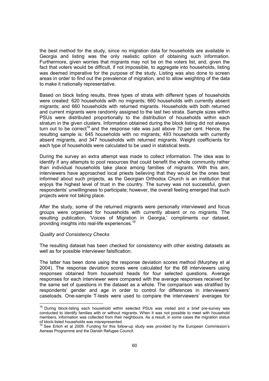the best method for the study, since no migration data for households are available in Georgia and listing was the only realistic option of obtaining such information. Furthermore, given worries that migrants may not be on the voters list, and, given the fact that voters would be difficult, if not impossible, to aggregate into households, listing was deemed imperative for the purpose of the study. Listing was also done to screen areas in order to find out the prevalence of migration, and to allow weighting of the data to make it nationally representative.

Based on block listing results, three types of strata with different types of households were created: 620 households with no migrants; 660 households with currently absent migrants; and 660 households with returned migrants. Households with both returned and current migrants were randomly assigned to the last two strata. Sample sizes within PSUs were distributed proportionally to the distribution of households within each stratum in the given clusters. Information obtained during the block listing did not always turn out to be correct<sup>18</sup> and the response rate was just above 70 per cent. Hence, the resulting sample is: 645 households with no migrants; 493 households with currently absent migrants, and 347 households with returned migrants. Weight coefficients for each type of households were calculated to be used in statistical tests.

During the survey an extra attempt was made to collect information. The idea was to identify if any attempts to pool resources that could benefit the whole community rather than individual households take place among families of migrants. With this aim, interviewers have approached local priests believing that they would be the ones best informed about such projects, as the Georgian Orthodox Church is an institution that enjoys the highest level of trust in the country. The survey was not successful, given respondents' unwillingness to participate; however, the overall feeling emerged that such projects were not taking place.

After the study, some of the returned migrants were personally interviewed and focus groups were organised for households with currently absent or no migrants. The resulting publication, 'Voices of Migration in Georgia,' compliments our dataset, providing insights into real-life experiences.<sup>19</sup>

## Quality and Consistency Checks

 $\frac{1}{2}$ 

The resulting dataset has been checked for consistency with other existing datasets as well as for possible interviewer falsification.

The latter has been done using the response deviation scores method (Murphey et al 2004). The response deviation scores were calculated for the 68 interviewers using responses obtained from household heads for four selected questions. Average responses for each interviewer were compared with the average responses received for the same set of questions in the dataset as a whole. The comparison was stratified by respondents' gender and age in order to control for differences in interviewers' caseloads. One-sample T-tests were used to compare the interviewers' averages for

<sup>&</sup>lt;sup>18</sup> During block-listing each household within selected PSUs was visited and a brief pre-survey was conducted to identify families with or without migrants. When it was not possible to meet with household members, information was collected from their neighbours. As a result, in some cases the migration status of block-listed households was misrepresented.

<sup>&</sup>lt;sup>19</sup> See Erlich et al 2009. Funding for this follow-up study was provided by the European Commission's Aeneas Programme and the Danish Refugee Council.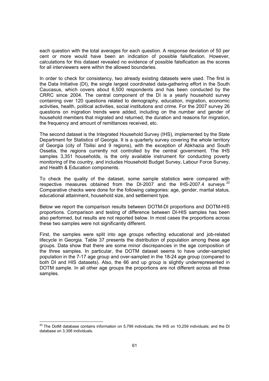each question with the total averages for each question. A response deviation of 50 per cent or more would have been an indication of possible falsification. However, calculations for this dataset revealed no evidence of possible falsification as the scores for all interviewers were within the allowed boundaries.

In order to check for consistency, two already existing datasets were used. The first is the Data Initiative (DI), the single largest coordinated data-gathering effort in the South Caucasus, which covers about 6,500 respondents and has been conducted by the CRRC since 2004. The central component of the DI is a yearly household survey containing over 120 questions related to demography, education, migration, economic activities, health, political activities, social institutions and crime. For the 2007 survey 26 questions on migration trends were added, including on the number and gender of household members that migrated and returned, the duration and reasons for migration, the frequency and amount of remittances received, etc.

The second dataset is the Integrated Household Survey (IHS), implemented by the State Department for Statistics of Georgia. It is a quarterly survey covering the whole territory of Georgia (city of Tbilisi and 9 regions), with the exception of Abkhazia and South Ossetia, the regions currently not controlled by the central government. The IHS samples 3,351 households, is the only available instrument for conducting poverty monitoring of the country, and includes Household Budget Survey, Labour Force Survey, and Health & Education components.

To check the quality of the dataset, some sample statistics were compared with respective measures obtained from the DI-2007 and the IHS-2007.4 surveys<sup>20</sup> Comparative checks were done for the following categories: age, gender, marital status, educational attainment, household size, and settlement type.

Below we report the comparison results between DOTM-DI proportions and DOTM-HIS proportions. Comparison and testing of difference between DI-HIS samples has been also performed, but results are not reported below. In most cases the proportions across these two samples were not significantly different.

First, the samples were split into age groups reflecting educational and job-related lifecycle in Georgia. Table 37 presents the distribution of population among these age groups. Data show that there are some minor discrepancies in the age composition of the three samples. In particular, the DOTM dataset seems to have under-sampled population in the 7-17 age group and over-sampled in the 18-24 age group (compared to both DI and HIS datasets). Also, the 66 and up group is slightly underrepresented in DOTM sample. In all other age groups the proportions are not different across all three samples.

 $\overline{\phantom{a}}$ 

<sup>&</sup>lt;sup>20</sup> The DotM database contains information on 5,799 individuals; the IHS on 10,259 individuals; and the DI database on 3,306 individuals.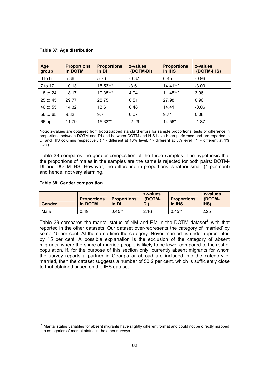Table 37: Age distribution

| Age<br>group | <b>Proportions</b><br>in DOTM | <b>Proportions</b><br>in DI | z-values<br>(DOTM-DI) | <b>Proportions</b><br>in IHS | z-values<br>(DOTM-IHS) |
|--------------|-------------------------------|-----------------------------|-----------------------|------------------------------|------------------------|
| $0$ to $6$   | 5.36                          | 5.76                        | $-0.37$               | 6.45                         | $-0.96$                |
| 7 to 17      | 10.13                         | 15.53***                    | $-3.61$               | $14.41***$                   | $-3.00$                |
| 18 to 24     | 18.17                         | 10.35***                    | 4.94                  | $11.45***$                   | 3.96                   |
| 25 to 45     | 29.77                         | 28.75                       | 0.51                  | 27.98                        | 0.90                   |
| 46 to 55     | 14.32                         | 13.6                        | 0.48                  | 14.41                        | $-0.06$                |
| 56 to 65     | 9.82                          | 9.7                         | 0.07                  | 9.71                         | 0.08                   |
| 66 up        | 11.79                         | 15.33**                     | $-2.29$               | 14.56*                       | $-1.87$                |

Note: z-values are obtained from bootstrapped standard errors for sample proportions; tests of difference in proportions between DOTM and DI and between DOTM and HIS have been performed and are reported in DI and HIS columns respectively ( \* - different at 10% level, \*\*- different at 5% level, \*\*\* - different at 1% level)

Table 38 compares the gender composition of the three samples. The hypothesis that the proportions of males in the samples are the same is rejected for both pairs: DOTM-DI and DOTM-IHS. However, the difference in proportions is rather small (4 per cent) and hence, not very alarming.

## Table 38: Gender composition

 $\overline{\phantom{a}}$ 

| <b>Gender</b> | <b>Proportions</b><br>in DOTM | <b>Proportions</b><br>in DI | z-values<br>(DOTM-<br>DI) | <b>Proportions</b><br>in IHS | z-values<br>(DOTM-<br><b>IHS</b> |
|---------------|-------------------------------|-----------------------------|---------------------------|------------------------------|----------------------------------|
| Male          | 0.49                          | $0.45**$                    | 2.16                      | $0.45**$                     | 2.25                             |

Table 39 compares the marital status of NM and RM in the DOTM dataset $^{21}$  with that reported in the other datasets. Our dataset over-represents the category of 'married' by some 15 per cent. At the same time the category 'Never married' is under-represented by 15 per cent. A possible explanation is the exclusion of the category of absent migrants, where the share of married people is likely to be lower compared to the rest of population. If, for the purpose of this section only, currently absent migrants for whom the survey reports a partner in Georgia or abroad are included into the category of married, then the dataset suggests a number of 50.2 per cent, which is sufficiently close to that obtained based on the IHS dataset.

<sup>&</sup>lt;sup>21</sup> Marital status variables for absent migrants have slightly different format and could not be directly mapped into categories of marital status in the other surveys.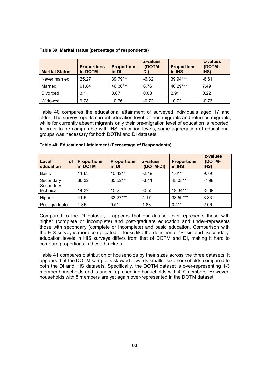| <b>Marital Status</b> | <b>Proportions</b><br>in DOTM | <b>Proportions</b><br>in DI | z-values<br>(DOTM-<br>DI) | <b>Proportions</b><br>in IHS | z-values<br>(DOTM-<br>IHS) |
|-----------------------|-------------------------------|-----------------------------|---------------------------|------------------------------|----------------------------|
| Never married         | 25.27                         | 39.79***                    | $-6.32$                   | 39.94***                     | $-6.61$                    |
| Married               | 61.84                         | 46.36***                    | 6.76                      | 46.29***                     | 7.49                       |
| Divorced              | 3.1                           | 3.07                        | 0.03                      | 2.91                         | 0.22                       |
| Widowed               | 9.78                          | 10.76                       | $-0.72$                   | 10.72                        | $-0.73$                    |

## Table 39: Marital status (percentage of respondents)

Table 40 compares the educational attainment of surveyed individuals aged 17 and older. The survey reports current education level for non-migrants and returned migrants, while for currently absent migrants only their pre-migration level of education is reported. In order to be comparable with IHS education levels, some aggregation of educational groups was necessary for both DOTM and DI datasets.

| Level<br>οf<br>education | <b>Proportions</b><br>in DOTM | <b>Proportions</b><br>in DI | z-values<br>(DOTM-DI) | <b>Proportions</b><br>in IHS | z-values<br>(DOTM-<br>IHS) |
|--------------------------|-------------------------------|-----------------------------|-----------------------|------------------------------|----------------------------|
| Basic                    | 11.63                         | $15.42**$                   | $-2.49$               | $1.6***$                     | 9.79                       |
| Secondary                | 30.32                         | 35.52***                    | $-3.41$               | 45.05***                     | $-7.98$                    |
| Secondary<br>technical   | 14.32                         | 15.2                        | $-0.50$               | $19.34***$                   | $-3.09$                    |
| Higher                   | 41.5                          | $33.27***$                  | 4.17                  | 33.59***                     | 3.83                       |
| Post-graduate            | 1.35                          | $0.5*$                      | 1.83                  | $0.4***$                     | 2.06                       |

## Table 40: Educational Attainment (Percentage of Respondents)

Compared to the DI dataset, it appears that our dataset over-represents those with higher (complete or incomplete) and post-graduate education and under-represents those with secondary (complete or incomplete) and basic education. Comparison with the HIS survey is more complicated: it looks like the definition of 'Basic' and 'Secondary' education levels in HIS surveys differs from that of DOTM and DI, making it hard to compare proportions in these brackets.

Table 41 compares distribution of households by their sizes across the three datasets. It appears that the DOTM sample is skewed towards smaller size households compared to both the DI and IHS datasets. Specifically, the DOTM dataset is over-representing 1-3 member households and is under-representing households with 4-7 members. However, households with 8 members are yet again over-represented in the DOTM dataset.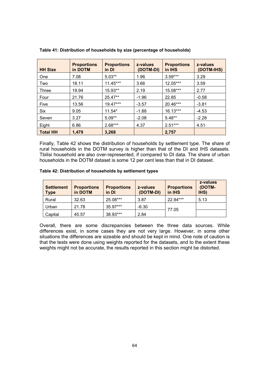| <b>HH Size</b>  | <b>Proportions</b><br>in DOTM | <b>Proportions</b><br>in DI | z-values<br>(DOTM-DI) | <b>Proportions</b><br>in IHS | z-values<br>(DOTM-IHS) |
|-----------------|-------------------------------|-----------------------------|-----------------------|------------------------------|------------------------|
| <b>One</b>      | 7.08                          | $5.03**$                    | 1.96                  | $3.59***$                    | 3.29                   |
| Two             | 18.11                         | $11.45***$                  | 3.66                  | 12.05***                     | 3.59                   |
| Three           | 19.94                         | 15.93**                     | 2.19                  | 15.08***                     | 2.77                   |
| Four            | 21.76                         | 25.47**                     | $-1.96$               | 22.85                        | $-0.58$                |
| Five            | 13.56                         | 19.47***                    | $-3.57$               | 20.46***                     | $-3.81$                |
| Six             | 9.05                          | $11.54*$                    | $-1.88$               | $16.13***$                   | $-4.53$                |
| Seven           | 3.27                          | $5.09**$                    | $-2.08$               | $5.48**$                     | $-2.28$                |
| Eight           | 6.86                          | $2.68***$                   | 4.37                  | $2.51***$                    | 4.51                   |
| <b>Total HH</b> | 1.479                         | 3,268                       |                       | 2,757                        |                        |

Table 41: Distribution of households by size (percentage of households)

Finally, Table 42 shows the distribution of households by settlement type. The share of rural households in the DOTM survey is higher than that of the DI and IHS datasets. Tbilisi household are also over-represented, if compared to DI data. The share of urban households in the DOTM dataset is some 12 per cent less than that in DI dataset.

## Table 42: Distribution of households by settlement types

| <b>Settlement</b><br><b>Type</b> | <b>Proportions</b><br>in DOTM | <b>Proportions</b><br>in DI | z-values<br>(DOTM-DI) | <b>Proportions</b><br>in IHS | z-values<br>(DOTM-<br>IHS) |
|----------------------------------|-------------------------------|-----------------------------|-----------------------|------------------------------|----------------------------|
| Rural                            | 32.63                         | 25.08***                    | 3.87                  | 22.94***                     | 5.13                       |
| Urban                            | 21.78                         | 35.97***                    | $-6.30$               | 77.05                        |                            |
| Capital                          | 45.57                         | 38.93***                    | 2.84                  |                              |                            |

Overall, there are some discrepancies between the three data sources. While differences exist, in some cases they are not very large. However, in some other situations the differences are sizeable and should be kept in mind. One note of caution is that the tests were done using weights reported for the datasets, and to the extent these weights might not be accurate, the results reported in this section might be distorted.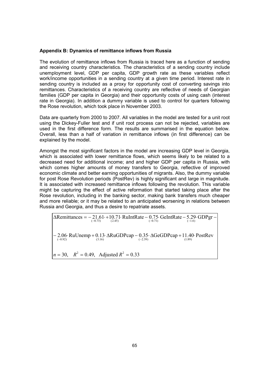## Appendix B: Dynamics of remittance inflows from Russia

The evolution of remittance inflows from Russia is traced here as a function of sending and receiving country characteristics. The characteristics of a sending country include unemployment level, GDP per capita, GDP growth rate as these variables reflect work/income opportunities in a sending country at a given time period. Interest rate in sending country is included as a proxy for opportunity cost of converting savings into remittances. Characteristics of a receiving country are reflective of needs of Georgian families (GDP per capita in Georgia) and their opportunity costs of using cash (interest rate in Georgia). In addition a dummy variable is used to control for quarters following the Rose revolution, which took place in November 2003.

Data are quarterly from 2000 to 2007. All variables in the model are tested for a unit root using the Dickey-Fuller test and if unit root process can not be rejected, variables are used in the first difference form. The results are summarised in the equation below. Overall, less than a half of variation in remittance inflows (in first difference) can be explained by the model.

Amongst the most significant factors in the model are increasing GDP level in Georgia, which is associated with lower remittance flows, which seems likely to be related to a decreased need for additional income; and and higher GDP per capita in Russia, with which comes higher amounts of money transfers to Georgia, reflective of improved economic climate and better earning opportunities of migrants. Also, the dummy variable for post Rose Revolution periods (PostRev) is highly significant and large in magnitude. It is associated with increased remittance inflows following the revolution. This variable might be capturing the effect of active reformation that started taking place after the Rose revolution, including in the banking sector, making bank transfers much cheaper and more reliable; or it may be related to an anticipated worsening in relations between Russia and Georgia, and thus a desire to repatriate assets.

 $n = 30$ ,  $R^2 = 0.49$ , Adjusted  $R^2 = 0.33$  $-2.06$ · RuUnemp + 0.13· ΔRuGDPcap - 0.35· ΔGeGDPcap + 11.40· PostRev  $\Delta$ Remittances =  $-$ 21.61  $+$ 10.71 RuIntRate  $-$  0.75 GeIntRate  $-$  5.29 GDPgr  $(-0.92)$  .1.6) ... (3.16) ... (2.39) ... (1.89)  $(-0.73)$   $(2.45)$   $(-0.71)$   $(-1.6)$  $(-0.92)$   $(3.16)$   $(-2.39)$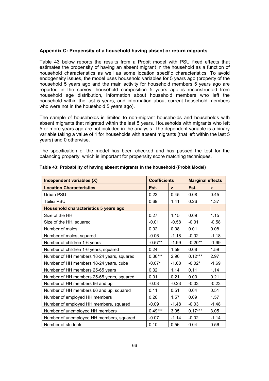## Appendix C: Propensity of a household having absent or return migrants

Table 43 below reports the results from a Probit model with PSU fixed effects that estimates the propensity of having an absent migrant in the household as a function of household characteristics as well as some location specific characteristics. To avoid endogeneity issues, the model uses household variables for 5 years ago (property of the household 5 years ago and the main activity for household members 5 years ago are reported in the survey; household composition 5 years ago is reconstructed from household age distribution, information about household members who left the household within the last 5 years, and information about current household members who were not in the household 5 years ago).

The sample of households is limited to non-migrant households and households with absent migrants that migrated within the last 5 years. Households with migrants who left 5 or more years ago are not included in the analysis. The dependent variable is a binary variable taking a value of 1 for households with absent migrants (that left within the last 5 years) and 0 otherwise.

The specification of the model has been checked and has passed the test for the balancing property, which is important for propensity score matching techniques.

| Independent variables (X)                 | <b>Coefficients</b> |              | <b>Marginal effects</b> |              |
|-------------------------------------------|---------------------|--------------|-------------------------|--------------|
| <b>Location Characteristics</b>           | Est.                | $\mathbf{z}$ | Est.                    | $\mathbf{z}$ |
| Urban PSU                                 | 0.23                | 0.45         | 0.08                    | 0.45         |
| <b>Tbilisi PSU</b>                        | 0.69                | 1.41         | 0.26                    | 1.37         |
| Household characteristics 5 years ago     |                     |              |                         |              |
| Size of the HH                            | 0.27                | 1.15         | 0.09                    | 1.15         |
| Size of the HH, squared                   | $-0.01$             | $-0.58$      | $-0.01$                 | $-0.58$      |
| Number of males                           | 0.02                | 0.08         | 0.01                    | 0.08         |
| Number of males, squared                  | $-0.06$             | $-1.18$      | $-0.02$                 | $-1.18$      |
| Number of children 1-6 years              | $-0.57**$           | $-1.99$      | $-0.20**$               | $-1.99$      |
| Number of children 1-6 years, squared     | 0.24                | 1.59         | 0.08                    | 1.59         |
| Number of HH members 18-24 years, squared | $0.36***$           | 2.96         | $0.12***$               | 2.97         |
| Number of HH members 18-24 years, cube    | $-0.07*$            | $-1.68$      | $-0.02*$                | $-1.69$      |
| Number of HH members 25-65 years          | 0.32                | 1.14         | 0.11                    | 1.14         |
| Number of HH members 25-65 years, squared | 0.01                | 0.21         | 0.00                    | 0.21         |
| Number of HH members 66 and up            | $-0.08$             | $-0.23$      | $-0.03$                 | $-0.23$      |
| Number of HH members 66 and up, squared   | 0.11                | 0.51         | 0.04                    | 0.51         |
| Number of employed HH members             | 0.26                | 1.57         | 0.09                    | 1.57         |
| Number of employed HH members, squared    | $-0.09$             | $-1.48$      | $-0.03$                 | $-1.48$      |
| Number of unemployed HH members           | $0.49***$           | 3.05         | $0.17***$               | 3.05         |
| Number of unemployed HH members, squared  | $-0.07$             | $-1.14$      | $-0.02$                 | $-1.14$      |
| Number of students                        | 0.10                | 0.56         | 0.04                    | 0.56         |

#### Table 43: Probability of having absent migrants in the household (Probit Model)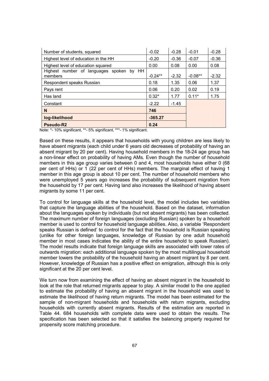| Number of students, squared                         | $-0.02$   | $-0.28$ | $-0.01$   | $-0.28$ |
|-----------------------------------------------------|-----------|---------|-----------|---------|
| Highest level of education in the HH                | $-0.20$   | $-0.36$ | $-0.07$   | $-0.36$ |
| Highest level of education squared                  | 0.00      | 0.08    | 0.00      | 0.08    |
| Highest number of languages spoken by HH<br>members | $-0.24**$ | $-2.32$ | $-0.08**$ | $-2.32$ |
| Respondent speaks Russian                           | 0.18      | 1.35    | 0.06      | 1.37    |
| Pays rent                                           | 0.06      | 0.20    | 0.02      | 0.19    |
| Has land                                            | $0.32*$   | 1.77    | $0.11*$   | 1.75    |
| Constant                                            | $-2.22$   | $-1.45$ |           |         |
| N                                                   | 746       |         |           |         |
| log-likelihood                                      | $-365.27$ |         |           |         |
| <b>Pseudo-R2</b>                                    | 0.24      |         |           |         |

Note: \*- 10% significant, \*\*- 5% significant, \*\*\*- 1% significant.

Based on these results, it appears that households with young children are less likely to have absent migrants (each child under 6 years old decreases of probability of having an absent migrant by 20 per cent). Having household members in the 18-24 age group has a non-linear effect on probability of having AMs. Even though the number of household members in this age group varies between 0 and 4, most households have either 0 (68 per cent of HHs) or 1 (22 per cent of HHs) members. The marginal effect of having 1 member in this age group is about 10 per cent. The number of household members who were unemployed 5 years ago increases the probability of subsequent migration from the household by 17 per cent. Having land also increases the likelihood of having absent migrants by some 11 per cent.

To control for language skills at the household level, the model includes two variables that capture the language abilities of the household. Based on the dataset, information about the languages spoken by individuals (but not absent migrants) has been collected. The maximum number of foreign languages (excluding Russian) spoken by a household member is used to control for household language abilities. Also, a variable 'Respondent speaks Russian is defined' to control for the fact that the household is Russian speaking (unlike for other foreign languages, knowledge of Russian by one adult household member in most cases indicates the ability of the entire household to speak Russian). The model results indicate that foreign language skills are associated with lower rates of outwards migration: each additional language spoken by the most multilingual household member lowers the probability of the household having an absent migrant by 8 per cent. However, knowledge of Russian has a positive effect on emigration, although this is only significant at the 20 per cent level.

We turn now from examining the effect of having an absent migrant in the household to look at the role that returned migrants appear to play. A similar model to the one applied to estimate the probability of having an absent migrant in the household was used to estimate the likelihood of having return migrants. The model has been estimated for the sample of non-migrant households and households with return migrants, excluding households with currently absent migrants. Results of the estimation are reported in Table 44. 684 households with complete data were used to obtain the results. The specification has been selected so that it satisfies the balancing property required for propensity score matching procedure.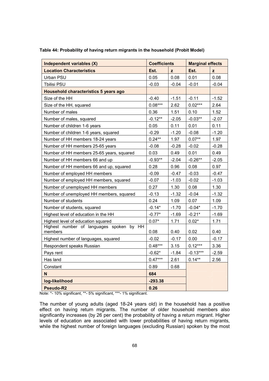| Independent variables (X)                           | <b>Coefficients</b> |         | <b>Marginal effects</b> |         |
|-----------------------------------------------------|---------------------|---------|-------------------------|---------|
| <b>Location Characteristics</b>                     | Est.                | z       | Est.                    | z       |
| Urban PSU                                           | 0.05                | 0.08    | 0.01                    | 0.08    |
| Tbilisi PSU                                         | $-0.03$             | $-0.04$ | $-0.01$                 | $-0.04$ |
| Household characteristics 5 years ago               |                     |         |                         |         |
| Size of the HH                                      | $-0.40$             | $-1.51$ | $-0.11$                 | $-1.52$ |
| Size of the HH, squared                             | $0.08***$           | 2.62    | $0.02***$               | 2.64    |
| Number of males                                     | 0.36                | 1.51    | 0.10                    | 1.52    |
| Number of males, squared                            | $-0.12**$           | $-2.05$ | $-0.03**$               | $-2.07$ |
| Number of children 1-6 years                        | 0.05                | 0.11    | 0.01                    | 0.11    |
| Number of children 1-6 years, squared               | $-0.29$             | $-1.20$ | $-0.08$                 | $-1.20$ |
| Number of HH members 18-24 years                    | $0.24**$            | 1.97    | $0.07**$                | 1.97    |
| Number of HH members 25-65 years                    | $-0.08$             | $-0.28$ | $-0.02$                 | $-0.28$ |
| Number of HH members 25-65 years, squared           | 0.03                | 0.49    | 0.01                    | 0.49    |
| Number of HH members 66 and up                      | $-0.93**$           | $-2.04$ | $-0.26**$               | $-2.05$ |
| Number of HH members 66 and up, squared             | 0.28                | 0.96    | 0.08                    | 0.97    |
| Number of employed HH members                       | $-0.09$             | $-0.47$ | $-0.03$                 | $-0.47$ |
| Number of employed HH members, squared              | $-0.07$             | $-1.03$ | $-0.02$                 | $-1.03$ |
| Number of unemployed HH members                     | 0.27                | 1.30    | 0.08                    | 1.30    |
| Number of unemployed HH members, squared            | $-0.13$             | $-1.32$ | $-0.04$                 | $-1.32$ |
| Number of students                                  | 0.24                | 1.09    | 0.07                    | 1.09    |
| Number of students, squared                         | $-0.14*$            | $-1.70$ | $-0.04*$                | $-1.70$ |
| Highest level of education in the HH                | $-0.77*$            | $-1.69$ | $-0.21*$                | $-1.69$ |
| Highest level of education squared                  | $0.07*$             | 1.71    | $0.02*$                 | 1.71    |
| Highest number of languages spoken by HH<br>members | 0.08                | 0.40    | 0.02                    | 0.40    |
| Highest number of languages, squared                | $-0.02$             | $-0.17$ | 0.00                    | $-0.17$ |
| Respondent speaks Russian                           | $0.48***$           | 3.15    | $0.12***$               | 3.36    |
| Pays rent                                           | $-0.62*$            | $-1.84$ | $-0.13***$              | $-2.59$ |
| Has land                                            | $0.47***$           | 2.61    | $0.14**$                | 2.56    |
| Constant                                            | 0.89                | 0.68    |                         |         |
| N                                                   | 684                 |         |                         |         |
| log-likelihood                                      | $-293.38$           |         |                         |         |
| Pseudo-R2                                           | 0.26                |         |                         |         |

Table 44: Probability of having return migrants in the household (Probit Model)

Note: \*- 10% significant, \*\*- 5% significant, \*\*\*- 1% significant.

The number of young adults (aged 18-24 years old) in the household has a positive effect on having return migrants. The number of older household members also significantly increases (by 26 per cent) the probability of having a return migrant. Higher levels of education are associated with lower probabilities of having return migrants, while the highest number of foreign languages (excluding Russian) spoken by the most